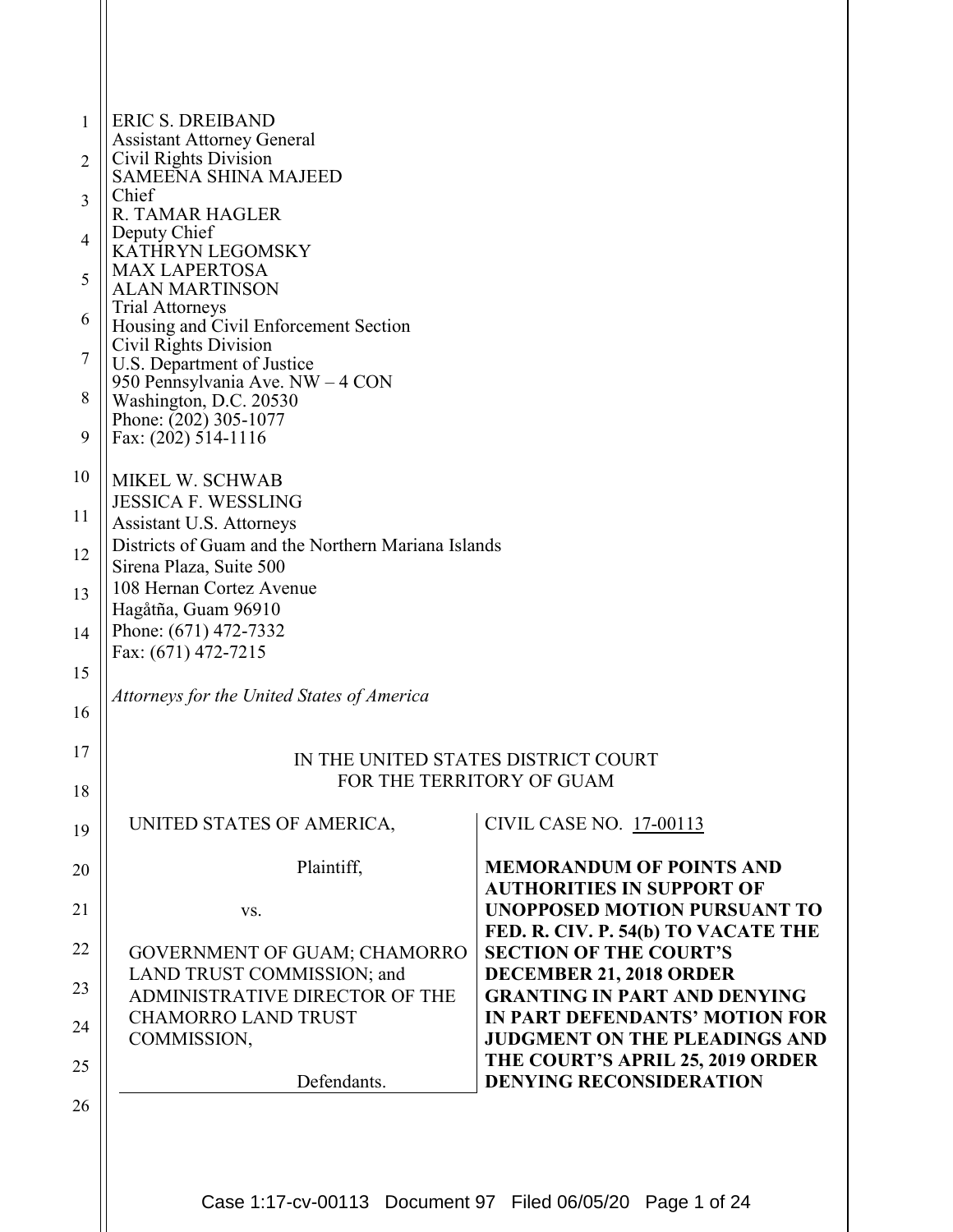| 1              | <b>ERIC S. DREIBAND</b><br><b>Assistant Attorney General</b>                                                                                                                                                                                                                                                                                                                                                         |                                                                            |  |
|----------------|----------------------------------------------------------------------------------------------------------------------------------------------------------------------------------------------------------------------------------------------------------------------------------------------------------------------------------------------------------------------------------------------------------------------|----------------------------------------------------------------------------|--|
| 2              | Civil Rights Division<br><b>SAMEENA SHINA MAJEED</b><br>Chief<br>R. TAMAR HAGLER<br>Deputy Chief<br><b>KATHRYN LEGOMSKY</b><br><b>MAX LAPERTOSA</b><br><b>ALAN MARTINSON</b><br><b>Trial Attorneys</b><br>Housing and Civil Enforcement Section<br>Civil Rights Division<br>U.S. Department of Justice<br>950 Pennsylvania Ave. NW - 4 CON<br>Washington, D.C. 20530<br>Phone: (202) 305-1077<br>Fax: (202) 514-1116 |                                                                            |  |
| 3              |                                                                                                                                                                                                                                                                                                                                                                                                                      |                                                                            |  |
| $\overline{4}$ |                                                                                                                                                                                                                                                                                                                                                                                                                      |                                                                            |  |
| 5              |                                                                                                                                                                                                                                                                                                                                                                                                                      |                                                                            |  |
| 6              |                                                                                                                                                                                                                                                                                                                                                                                                                      |                                                                            |  |
| 7              |                                                                                                                                                                                                                                                                                                                                                                                                                      |                                                                            |  |
| 8              |                                                                                                                                                                                                                                                                                                                                                                                                                      |                                                                            |  |
| 9              |                                                                                                                                                                                                                                                                                                                                                                                                                      |                                                                            |  |
| 10             | MIKEL W. SCHWAB<br><b>JESSICA F. WESSLING</b><br>Assistant U.S. Attorneys<br>Districts of Guam and the Northern Mariana Islands<br>Sirena Plaza, Suite 500<br>108 Hernan Cortez Avenue<br>Hagåtña, Guam 96910                                                                                                                                                                                                        |                                                                            |  |
| 11             |                                                                                                                                                                                                                                                                                                                                                                                                                      |                                                                            |  |
| 12             |                                                                                                                                                                                                                                                                                                                                                                                                                      |                                                                            |  |
| 13             |                                                                                                                                                                                                                                                                                                                                                                                                                      |                                                                            |  |
| 14             | Phone: (671) 472-7332<br>Fax: (671) 472-7215                                                                                                                                                                                                                                                                                                                                                                         |                                                                            |  |
| 15<br>16       | Attorneys for the United States of America                                                                                                                                                                                                                                                                                                                                                                           |                                                                            |  |
| 17             | IN THE UNITED STATES DISTRICT COURT                                                                                                                                                                                                                                                                                                                                                                                  |                                                                            |  |
| 18             | FOR THE TERRITORY OF GUAM                                                                                                                                                                                                                                                                                                                                                                                            |                                                                            |  |
| 19             | UNITED STATES OF AMERICA,                                                                                                                                                                                                                                                                                                                                                                                            | CIVIL CASE NO. 17-00113                                                    |  |
| 20             | Plaintiff,                                                                                                                                                                                                                                                                                                                                                                                                           | <b>MEMORANDUM OF POINTS AND</b><br><b>AUTHORITIES IN SUPPORT OF</b>        |  |
| 21             | VS.                                                                                                                                                                                                                                                                                                                                                                                                                  | <b>UNOPPOSED MOTION PURSUANT TO</b><br>FED. R. CIV. P. 54(b) TO VACATE THE |  |
| 22             | <b>GOVERNMENT OF GUAM; CHAMORRO</b><br>LAND TRUST COMMISSION; and                                                                                                                                                                                                                                                                                                                                                    | <b>SECTION OF THE COURT'S</b><br>DECEMBER 21, 2018 ORDER                   |  |
| 23             | ADMINISTRATIVE DIRECTOR OF THE                                                                                                                                                                                                                                                                                                                                                                                       | <b>GRANTING IN PART AND DENYING</b>                                        |  |
| 24             | <b>CHAMORRO LAND TRUST</b><br>COMMISSION,                                                                                                                                                                                                                                                                                                                                                                            | IN PART DEFENDANTS' MOTION FOR<br><b>JUDGMENT ON THE PLEADINGS AND</b>     |  |
| 25             | Defendants.                                                                                                                                                                                                                                                                                                                                                                                                          | THE COURT'S APRIL 25, 2019 ORDER<br><b>DENYING RECONSIDERATION</b>         |  |
| 26             |                                                                                                                                                                                                                                                                                                                                                                                                                      |                                                                            |  |
|                |                                                                                                                                                                                                                                                                                                                                                                                                                      |                                                                            |  |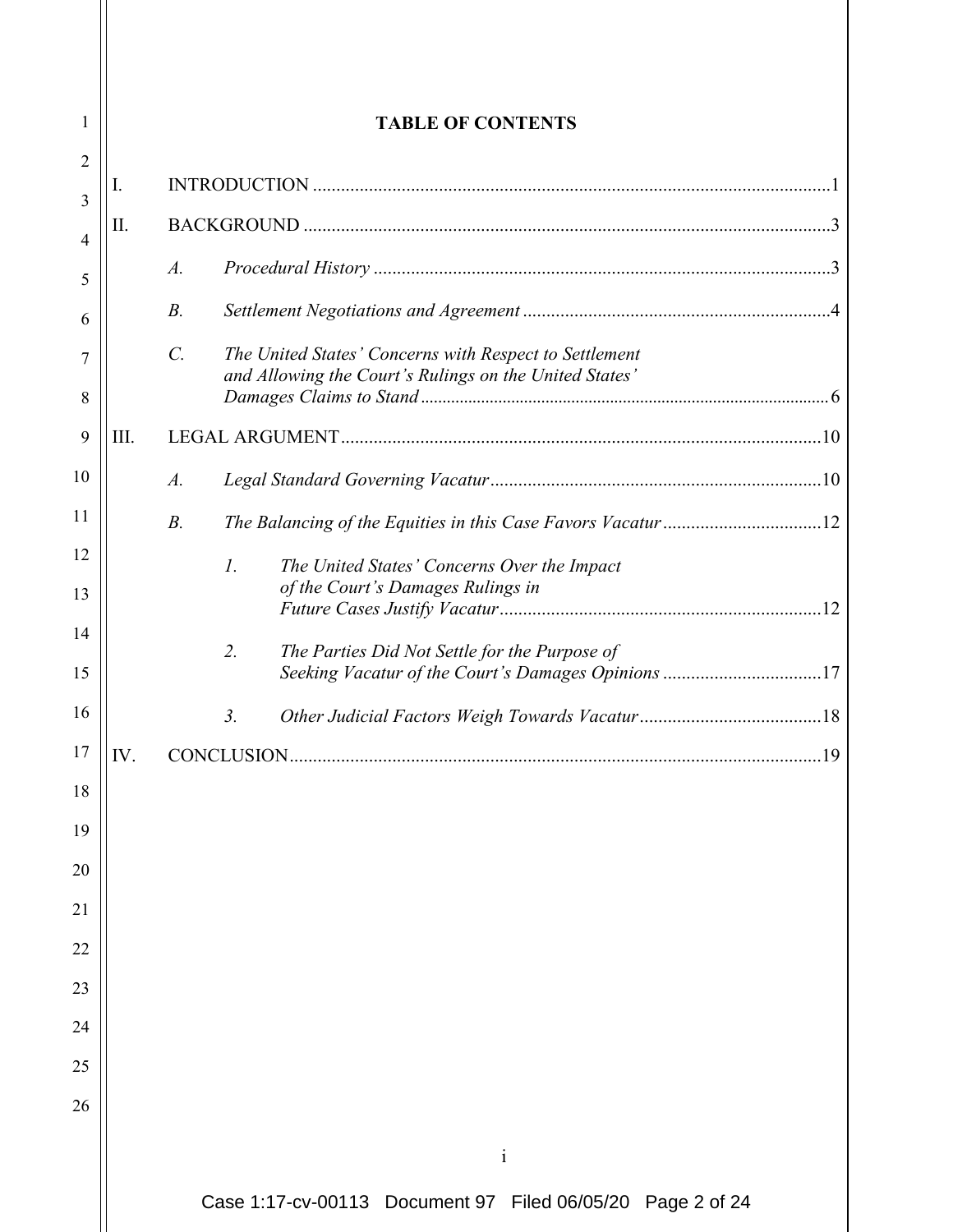| 1              |                                                     | <b>TABLE OF CONTENTS</b>                                                                                                            |  |  |
|----------------|-----------------------------------------------------|-------------------------------------------------------------------------------------------------------------------------------------|--|--|
| $\overline{2}$ |                                                     |                                                                                                                                     |  |  |
| 3              | Π.                                                  | I.                                                                                                                                  |  |  |
| $\overline{4}$ |                                                     |                                                                                                                                     |  |  |
| 5              |                                                     | $\boldsymbol{A}$ .                                                                                                                  |  |  |
| 6              |                                                     | $B$ .                                                                                                                               |  |  |
| 7<br>8         |                                                     | $\mathcal{C}$ .<br>The United States' Concerns with Respect to Settlement<br>and Allowing the Court's Rulings on the United States' |  |  |
| 9              | III.                                                |                                                                                                                                     |  |  |
| 10             |                                                     | $A$ .                                                                                                                               |  |  |
| 11             |                                                     | $B$ .                                                                                                                               |  |  |
| 12             |                                                     | $\mathcal{I}$ .<br>The United States' Concerns Over the Impact                                                                      |  |  |
| 13             |                                                     | of the Court's Damages Rulings in                                                                                                   |  |  |
| 14             | 2.<br>The Parties Did Not Settle for the Purpose of |                                                                                                                                     |  |  |
| 15             |                                                     | Seeking Vacatur of the Court's Damages Opinions 17                                                                                  |  |  |
| 16             |                                                     | 3.                                                                                                                                  |  |  |
| 17             | IV.                                                 | <b>CONCLUSION</b>                                                                                                                   |  |  |
| 18             |                                                     |                                                                                                                                     |  |  |
| 19             |                                                     |                                                                                                                                     |  |  |
| 20             |                                                     |                                                                                                                                     |  |  |
| 21             |                                                     |                                                                                                                                     |  |  |
| 22             |                                                     |                                                                                                                                     |  |  |
| 23             |                                                     |                                                                                                                                     |  |  |
| 24             |                                                     |                                                                                                                                     |  |  |
| 25             |                                                     |                                                                                                                                     |  |  |
| 26             |                                                     |                                                                                                                                     |  |  |
|                |                                                     | $\mathbf{i}$                                                                                                                        |  |  |
|                |                                                     | Case 1:17-cv-00113 Document 97 Filed 06/05/20 Page 2 of 24                                                                          |  |  |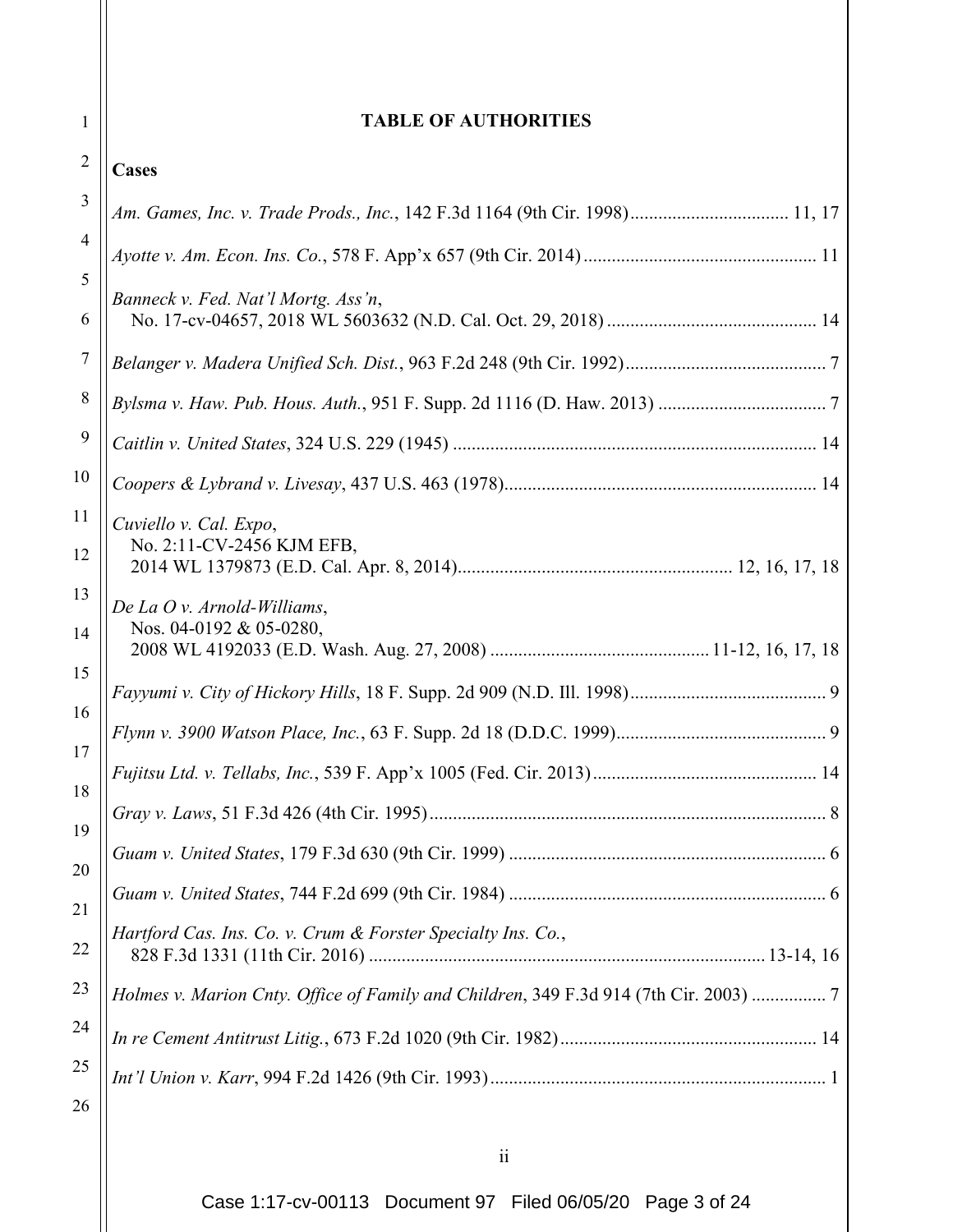| 1              | <b>TABLE OF AUTHORITIES</b>                                                           |
|----------------|---------------------------------------------------------------------------------------|
| $\overline{2}$ | Cases                                                                                 |
| 3              | Am. Games, Inc. v. Trade Prods., Inc., 142 F.3d 1164 (9th Cir. 1998) 11, 17           |
| $\overline{4}$ |                                                                                       |
| 5<br>6         | Banneck v. Fed. Nat'l Mortg. Ass'n,                                                   |
| 7              |                                                                                       |
| 8              |                                                                                       |
| 9              |                                                                                       |
| 10             |                                                                                       |
| 11<br>12       | Cuviello v. Cal. Expo,<br>No. 2:11-CV-2456 KJM EFB,                                   |
| 13<br>14       | De La O v. Arnold-Williams,<br>Nos. 04-0192 & 05-0280,                                |
| 15             |                                                                                       |
| 16<br>17       |                                                                                       |
| 18             |                                                                                       |
| 19             |                                                                                       |
| 20             |                                                                                       |
| 21             |                                                                                       |
| 22             | Hartford Cas. Ins. Co. v. Crum & Forster Specialty Ins. Co.,                          |
| 23             | Holmes v. Marion Cnty. Office of Family and Children, 349 F.3d 914 (7th Cir. 2003)  7 |
| 24             |                                                                                       |
| 25             |                                                                                       |
| 26             |                                                                                       |
|                | $\ddot{\mathbf{i}}$                                                                   |

Case 1:17-cv-00113 Document 97 Filed 06/05/20 Page 3 of 24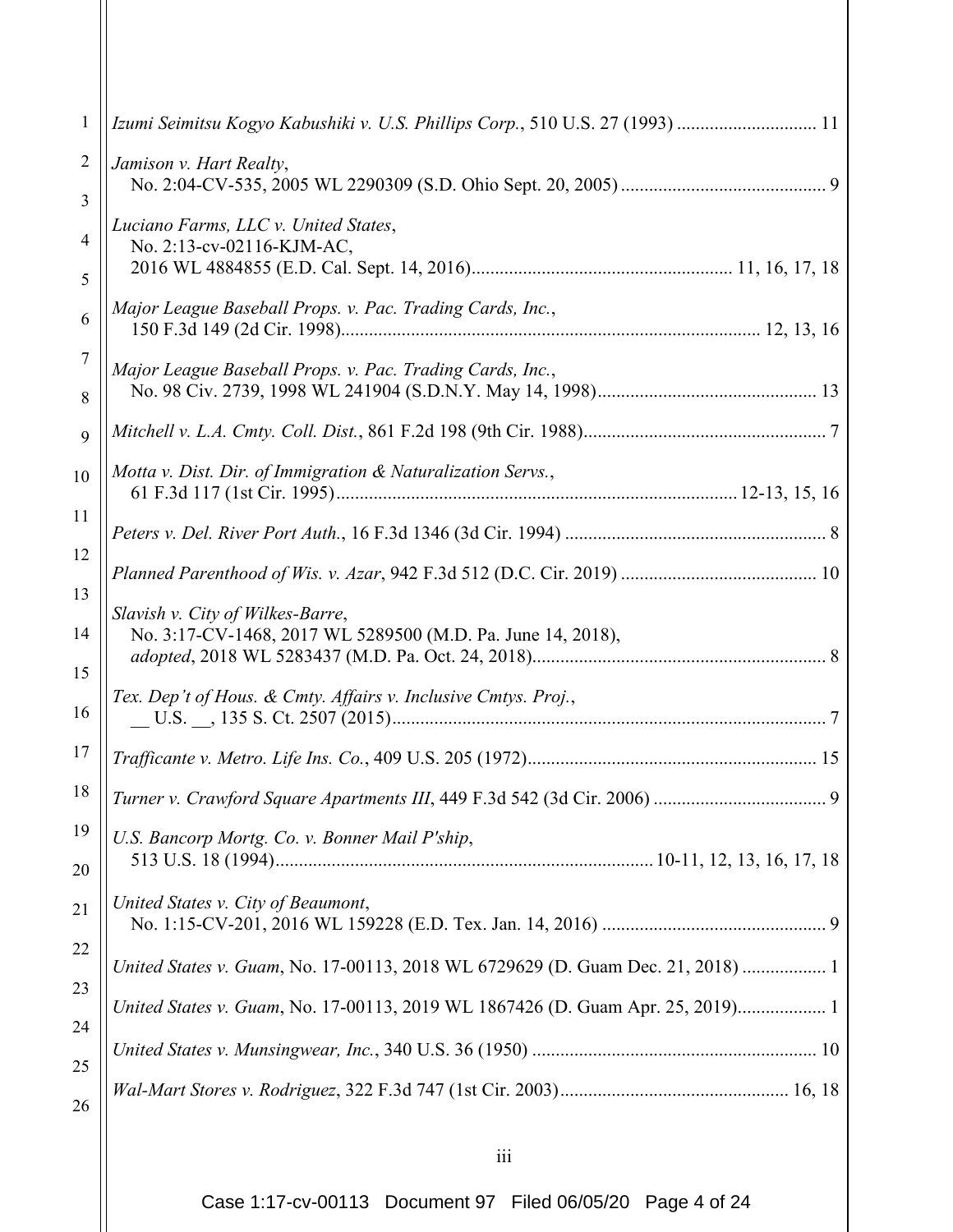| 1        | Izumi Seimitsu Kogyo Kabushiki v. U.S. Phillips Corp., 510 U.S. 27 (1993)  11                   |
|----------|-------------------------------------------------------------------------------------------------|
| 2        | Jamison v. Hart Realty,                                                                         |
| 3<br>4   | Luciano Farms, LLC v. United States,<br>No. 2:13-cv-02116-KJM-AC,                               |
| 5<br>6   | Major League Baseball Props. v. Pac. Trading Cards, Inc.,                                       |
| 7<br>8   | Major League Baseball Props. v. Pac. Trading Cards, Inc.,                                       |
| 9        |                                                                                                 |
| 10       | Motta v. Dist. Dir. of Immigration & Naturalization Servs.,                                     |
| 11       |                                                                                                 |
| 12       |                                                                                                 |
| 13<br>14 | Slavish v. City of Wilkes-Barre,<br>No. 3:17-CV-1468, 2017 WL 5289500 (M.D. Pa. June 14, 2018), |
| 15<br>16 | Tex. Dep't of Hous. & Cmty. Affairs v. Inclusive Cmtys. Proj.,                                  |
| 17       |                                                                                                 |
| 18       |                                                                                                 |
| 19<br>20 | U.S. Bancorp Mortg. Co. v. Bonner Mail P'ship,                                                  |
| 21       | United States v. City of Beaumont,                                                              |
| 22<br>23 | United States v. Guam, No. 17-00113, 2018 WL 6729629 (D. Guam Dec. 21, 2018)  1                 |
| 24       | United States v. Guam, No. 17-00113, 2019 WL 1867426 (D. Guam Apr. 25, 2019) 1                  |
| 25       |                                                                                                 |
| 26       |                                                                                                 |
|          | iii                                                                                             |

Case 1:17-cv-00113 Document 97 Filed 06/05/20 Page 4 of 24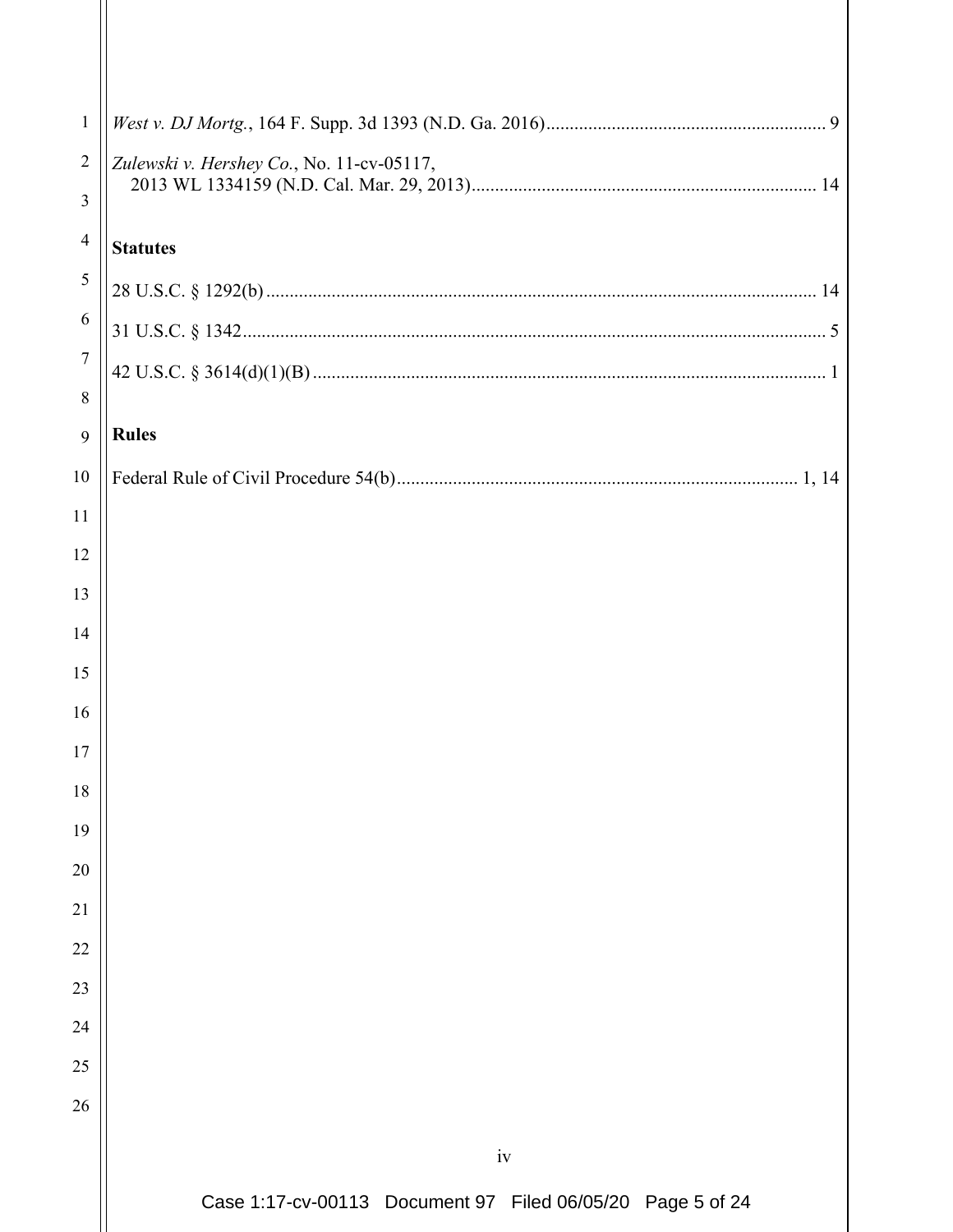| $\mathbf{1}$   |                                                            |
|----------------|------------------------------------------------------------|
| $\overline{2}$ | Zulewski v. Hershey Co., No. 11-cv-05117,                  |
| 3              |                                                            |
| $\overline{4}$ | <b>Statutes</b>                                            |
| 5              |                                                            |
| 6              |                                                            |
| $\tau$         |                                                            |
| 8              |                                                            |
| 9              | <b>Rules</b>                                               |
| 10             |                                                            |
| 11             |                                                            |
| 12             |                                                            |
| 13             |                                                            |
| 14             |                                                            |
| 15             |                                                            |
| 16             |                                                            |
| 17             |                                                            |
| 18             |                                                            |
| 19             |                                                            |
| 20             |                                                            |
| 21             |                                                            |
| 22             |                                                            |
| 23             |                                                            |
| 24             |                                                            |
| 25             |                                                            |
| 26             |                                                            |
|                |                                                            |
|                | iv                                                         |
|                | Case 1:17-cv-00113 Document 97 Filed 06/05/20 Page 5 of 24 |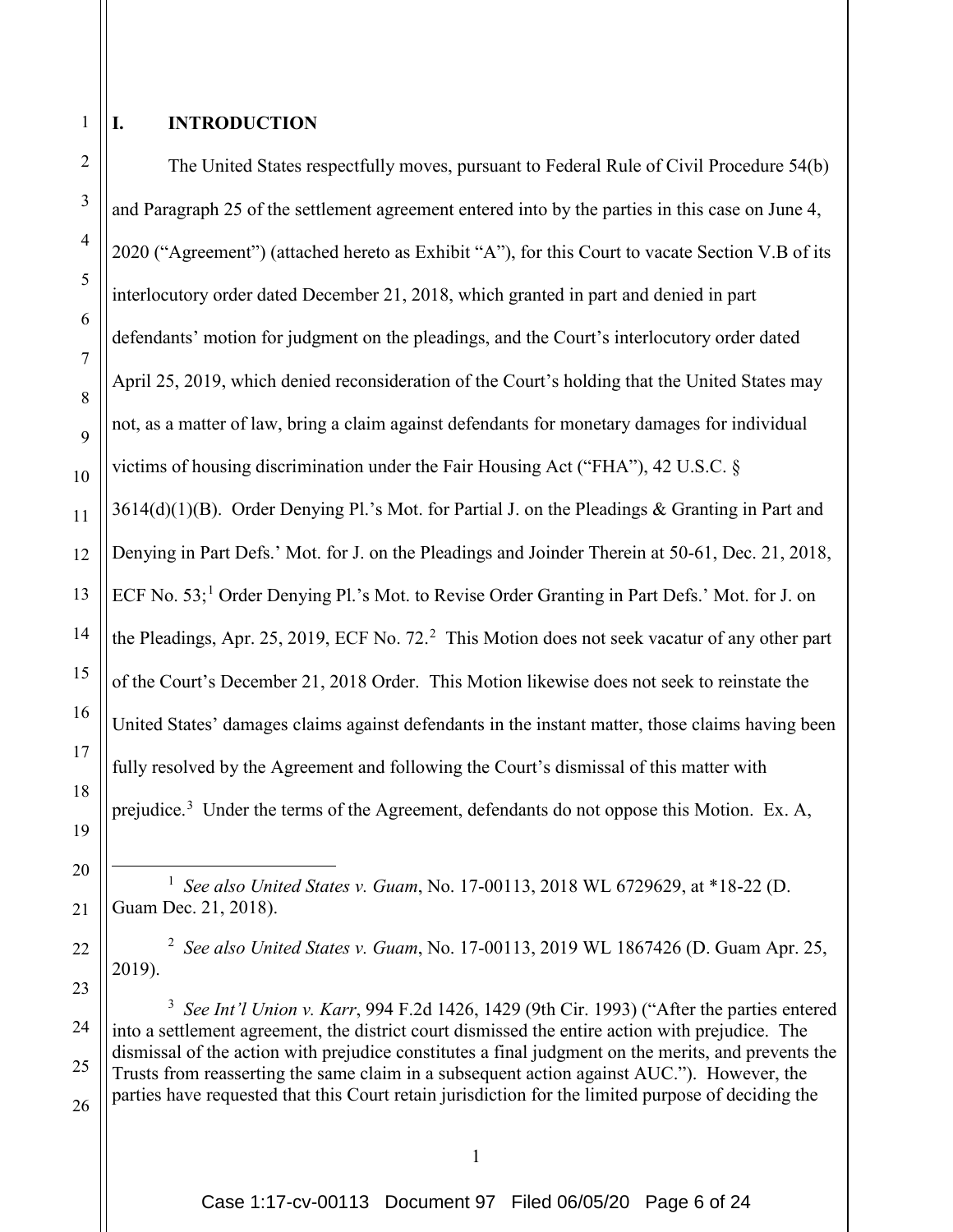2

3

4

5

6

7

8

9

10

11

12

13

14

15

16

17

18

19

<span id="page-5-0"></span>20

21

<span id="page-5-1"></span>22

23

## **I. INTRODUCTION**

The United States respectfully moves, pursuant to Federal Rule of Civil Procedure 54(b) and Paragraph 25 of the settlement agreement entered into by the parties in this case on June 4, 2020 ("Agreement") (attached hereto as Exhibit "A"), for this Court to vacate Section V.B of its interlocutory order dated December 21, 2018, which granted in part and denied in part defendants' motion for judgment on the pleadings, and the Court's interlocutory order dated April 25, 2019, which denied reconsideration of the Court's holding that the United States may not, as a matter of law, bring a claim against defendants for monetary damages for individual victims of housing discrimination under the Fair Housing Act ("FHA"), 42 U.S.C. § 3614(d)(1)(B). Order Denying Pl.'s Mot. for Partial J. on the Pleadings & Granting in Part and Denying in Part Defs.' Mot. for J. on the Pleadings and Joinder Therein at 50-61, Dec. 21, 2018, ECF No. 53;<sup>[1](#page-5-0)</sup> Order Denying Pl.'s Mot. to Revise Order Granting in Part Defs.' Mot. for J. on the Pleadings, Apr. [2](#page-5-1)5, 2019, ECF No. 72. $^2$  This Motion does not seek vacatur of any other part of the Court's December 21, 2018 Order. This Motion likewise does not seek to reinstate the United States' damages claims against defendants in the instant matter, those claims having been fully resolved by the Agreement and following the Court's dismissal of this matter with prejudice.<sup>[3](#page-5-2)</sup> Under the terms of the Agreement, defendants do not oppose this Motion. Ex. A,

1<sup>1</sup> *See also United States v. Guam*, No. 17-00113, 2018 WL 6729629, at \*18-22 (D. Guam Dec. 21, 2018).

2 *See also United States v. Guam*, No. 17-00113, 2019 WL 1867426 (D. Guam Apr. 25, 2019).

<span id="page-5-2"></span>24 25 26 3 *See Int'l Union v. Karr*, 994 F.2d 1426, 1429 (9th Cir. 1993) ("After the parties entered into a settlement agreement, the district court dismissed the entire action with prejudice. The dismissal of the action with prejudice constitutes a final judgment on the merits, and prevents the Trusts from reasserting the same claim in a subsequent action against AUC."). However, the parties have requested that this Court retain jurisdiction for the limited purpose of deciding the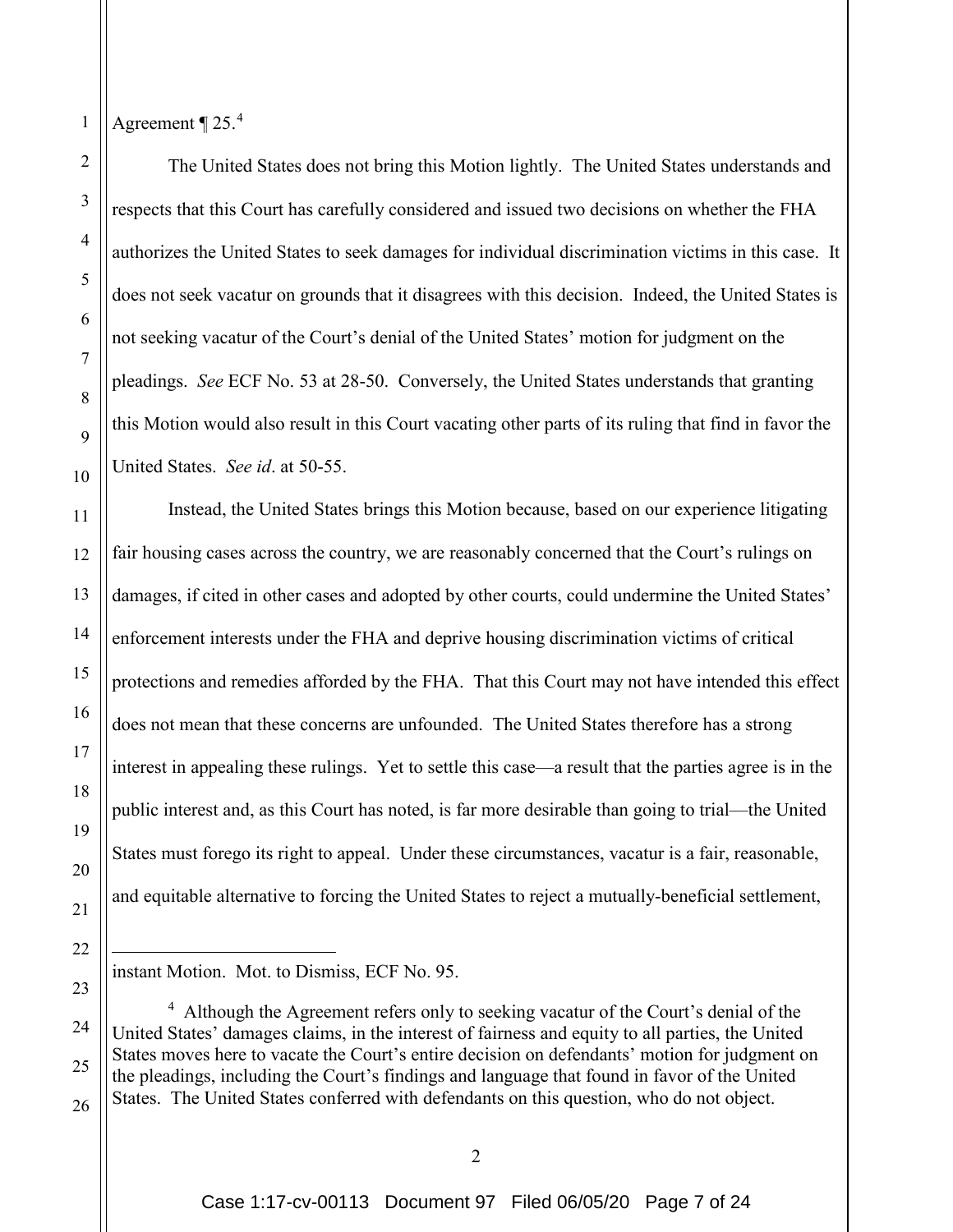Agreement  $\P$  25.<sup>[4](#page-6-0)</sup>

1

2

3

4

5

6

7

8

9

10

11

12

13

14

15

16

17

18

19

20

21

22

<span id="page-6-0"></span>24

25

The United States does not bring this Motion lightly. The United States understands and respects that this Court has carefully considered and issued two decisions on whether the FHA authorizes the United States to seek damages for individual discrimination victims in this case. It does not seek vacatur on grounds that it disagrees with this decision. Indeed, the United States is not seeking vacatur of the Court's denial of the United States' motion for judgment on the pleadings. *See* ECF No. 53 at 28-50. Conversely, the United States understands that granting this Motion would also result in this Court vacating other parts of its ruling that find in favor the United States. *See id*. at 50-55.

Instead, the United States brings this Motion because, based on our experience litigating fair housing cases across the country, we are reasonably concerned that the Court's rulings on damages, if cited in other cases and adopted by other courts, could undermine the United States' enforcement interests under the FHA and deprive housing discrimination victims of critical protections and remedies afforded by the FHA. That this Court may not have intended this effect does not mean that these concerns are unfounded. The United States therefore has a strong interest in appealing these rulings. Yet to settle this case—a result that the parties agree is in the public interest and, as this Court has noted, is far more desirable than going to trial—the United States must forego its right to appeal. Under these circumstances, vacatur is a fair, reasonable, and equitable alternative to forcing the United States to reject a mutually-beneficial settlement,

23  $\overline{a}$ instant Motion. Mot. to Dismiss, ECF No. 95.

<sup>&</sup>lt;sup>4</sup> Although the Agreement refers only to seeking vacatur of the Court's denial of the United States' damages claims, in the interest of fairness and equity to all parties, the United States moves here to vacate the Court's entire decision on defendants' motion for judgment on the pleadings, including the Court's findings and language that found in favor of the United States. The United States conferred with defendants on this question, who do not object.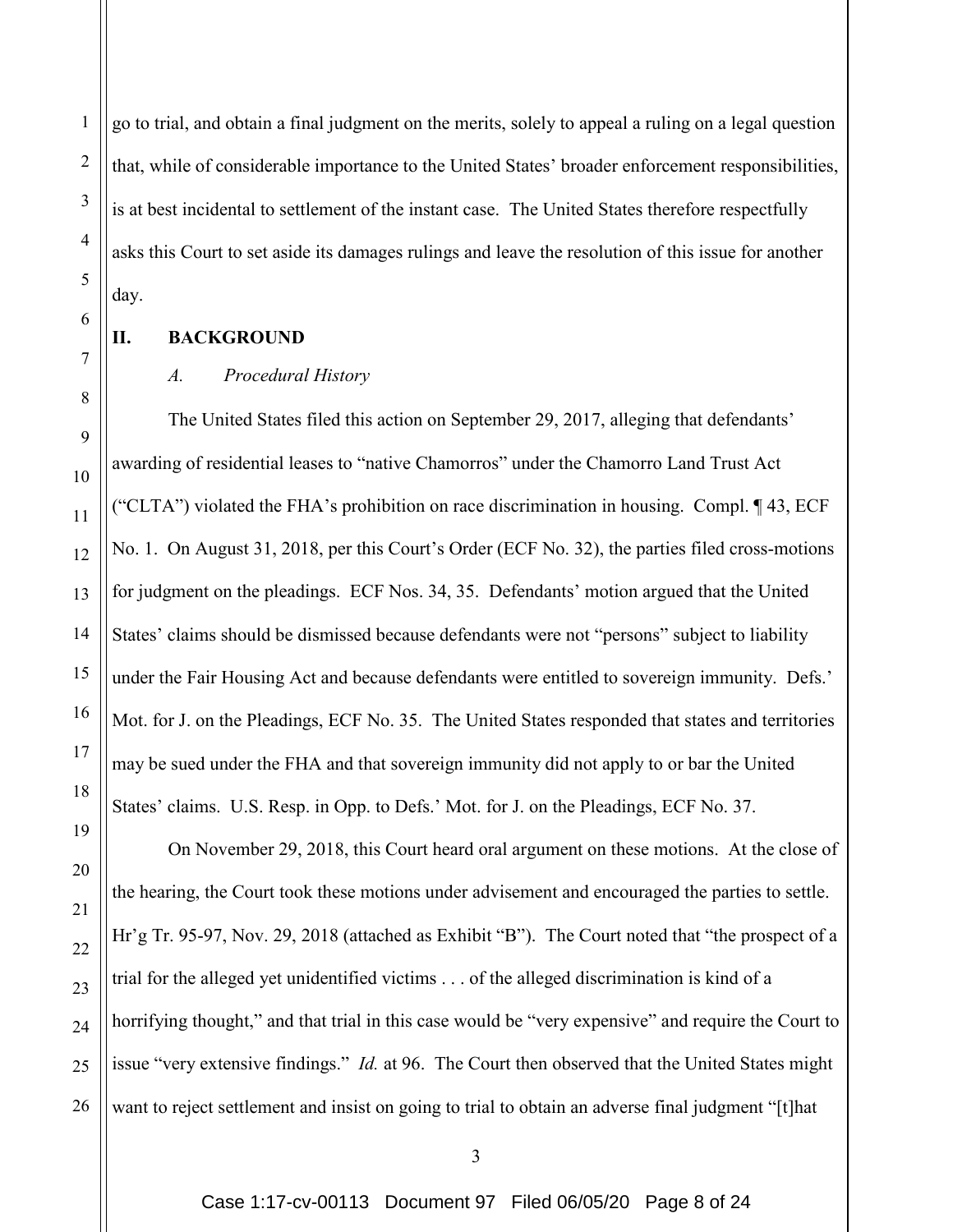go to trial, and obtain a final judgment on the merits, solely to appeal a ruling on a legal question that, while of considerable importance to the United States' broader enforcement responsibilities, is at best incidental to settlement of the instant case. The United States therefore respectfully asks this Court to set aside its damages rulings and leave the resolution of this issue for another day.

## **II. BACKGROUND**

## *A. Procedural History*

The United States filed this action on September 29, 2017, alleging that defendants' awarding of residential leases to "native Chamorros" under the Chamorro Land Trust Act ("CLTA") violated the FHA's prohibition on race discrimination in housing. Compl. ¶ 43, ECF No. 1. On August 31, 2018, per this Court's Order (ECF No. 32), the parties filed cross-motions for judgment on the pleadings. ECF Nos. 34, 35. Defendants' motion argued that the United States' claims should be dismissed because defendants were not "persons" subject to liability under the Fair Housing Act and because defendants were entitled to sovereign immunity. Defs.' Mot. for J. on the Pleadings, ECF No. 35. The United States responded that states and territories may be sued under the FHA and that sovereign immunity did not apply to or bar the United States' claims. U.S. Resp. in Opp. to Defs.' Mot. for J. on the Pleadings, ECF No. 37.

On November 29, 2018, this Court heard oral argument on these motions. At the close of the hearing, the Court took these motions under advisement and encouraged the parties to settle. Hr'g Tr. 95-97, Nov. 29, 2018 (attached as Exhibit "B"). The Court noted that "the prospect of a trial for the alleged yet unidentified victims . . . of the alleged discrimination is kind of a horrifying thought," and that trial in this case would be "very expensive" and require the Court to issue "very extensive findings." *Id.* at 96. The Court then observed that the United States might want to reject settlement and insist on going to trial to obtain an adverse final judgment "[t]hat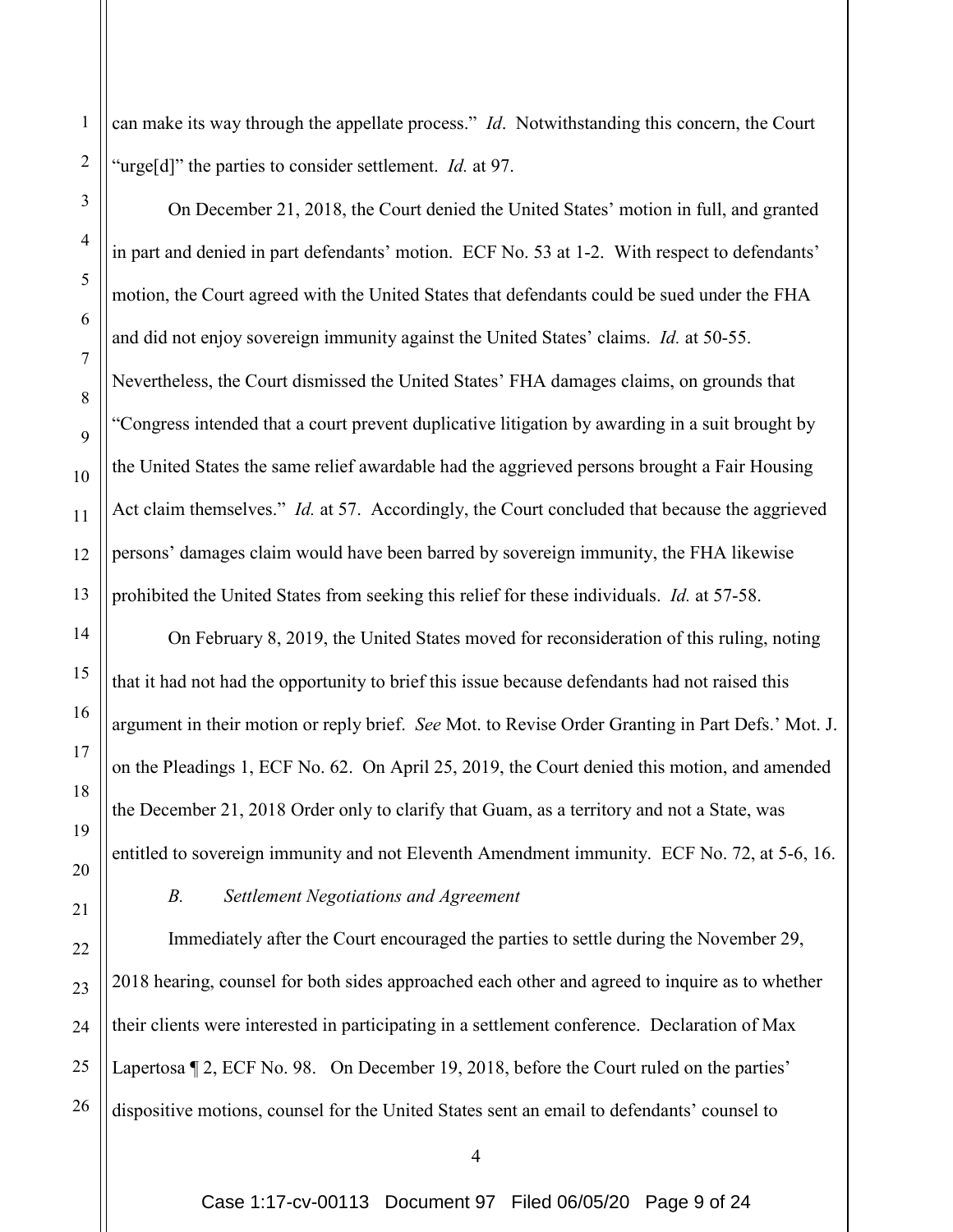can make its way through the appellate process." *Id*. Notwithstanding this concern, the Court "urge[d]" the parties to consider settlement. *Id.* at 97.

On December 21, 2018, the Court denied the United States' motion in full, and granted in part and denied in part defendants' motion. ECF No. 53 at 1-2. With respect to defendants' motion, the Court agreed with the United States that defendants could be sued under the FHA and did not enjoy sovereign immunity against the United States' claims. *Id.* at 50-55. Nevertheless, the Court dismissed the United States' FHA damages claims, on grounds that "Congress intended that a court prevent duplicative litigation by awarding in a suit brought by the United States the same relief awardable had the aggrieved persons brought a Fair Housing Act claim themselves." *Id.* at 57. Accordingly, the Court concluded that because the aggrieved persons' damages claim would have been barred by sovereign immunity, the FHA likewise prohibited the United States from seeking this relief for these individuals. *Id.* at 57-58.

On February 8, 2019, the United States moved for reconsideration of this ruling, noting that it had not had the opportunity to brief this issue because defendants had not raised this argument in their motion or reply brief. *See* Mot. to Revise Order Granting in Part Defs.' Mot. J. on the Pleadings 1, ECF No. 62. On April 25, 2019, the Court denied this motion, and amended the December 21, 2018 Order only to clarify that Guam, as a territory and not a State, was entitled to sovereign immunity and not Eleventh Amendment immunity. ECF No. 72, at 5-6, 16.

1

2

3

4

5

6

7

8

9

10

11

12

13

14

15

16

17

18

19

20

21

22

23

24

25

26

# *B. Settlement Negotiations and Agreement*

Immediately after the Court encouraged the parties to settle during the November 29, 2018 hearing, counsel for both sides approached each other and agreed to inquire as to whether their clients were interested in participating in a settlement conference. Declaration of Max Lapertosa ¶ 2, ECF No. 98. On December 19, 2018, before the Court ruled on the parties' dispositive motions, counsel for the United States sent an email to defendants' counsel to

Case 1:17-cv-00113 Document 97 Filed 06/05/20 Page 9 of 24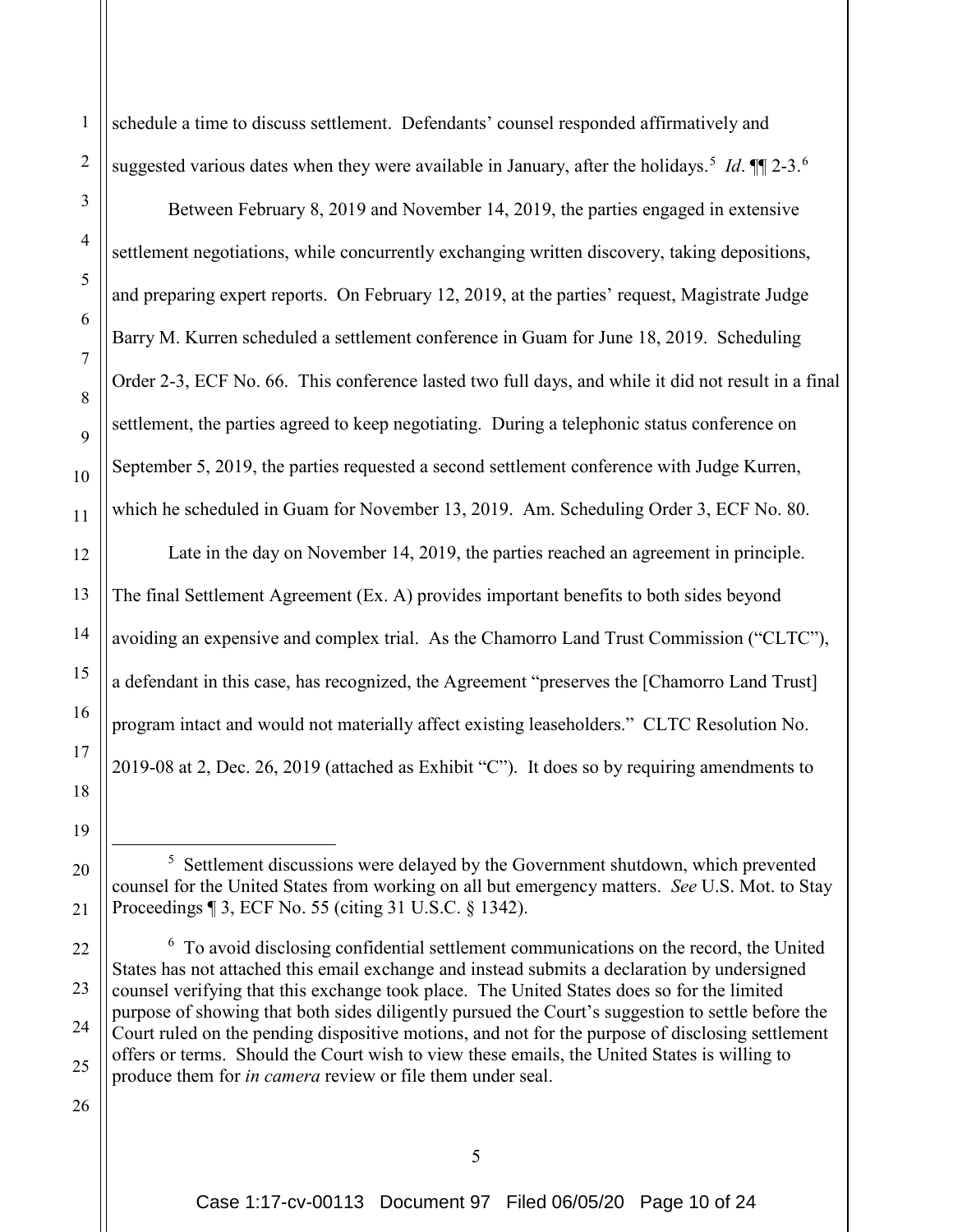schedule a time to discuss settlement. Defendants' counsel responded affirmatively and suggested various dates when they were available in January, after the holidays.<sup>[5](#page-9-0)</sup> Id. 11 2-3.<sup>[6](#page-9-1)</sup>

Between February 8, 2019 and November 14, 2019, the parties engaged in extensive settlement negotiations, while concurrently exchanging written discovery, taking depositions, and preparing expert reports. On February 12, 2019, at the parties' request, Magistrate Judge Barry M. Kurren scheduled a settlement conference in Guam for June 18, 2019. Scheduling Order 2-3, ECF No. 66. This conference lasted two full days, and while it did not result in a final settlement, the parties agreed to keep negotiating. During a telephonic status conference on September 5, 2019, the parties requested a second settlement conference with Judge Kurren, which he scheduled in Guam for November 13, 2019. Am. Scheduling Order 3, ECF No. 80.

Late in the day on November 14, 2019, the parties reached an agreement in principle. The final Settlement Agreement (Ex. A) provides important benefits to both sides beyond avoiding an expensive and complex trial. As the Chamorro Land Trust Commission ("CLTC"), a defendant in this case, has recognized, the Agreement "preserves the [Chamorro Land Trust] program intact and would not materially affect existing leaseholders." CLTC Resolution No. 2019-08 at 2, Dec. 26, 2019 (attached as Exhibit "C"). It does so by requiring amendments to

<span id="page-9-0"></span> $\frac{1}{5}$  $5$  Settlement discussions were delayed by the Government shutdown, which prevented counsel for the United States from working on all but emergency matters. *See* U.S. Mot. to Stay Proceedings ¶ 3, ECF No. 55 (citing 31 U.S.C. § 1342).

<span id="page-9-1"></span><sup>&</sup>lt;sup>6</sup> To avoid disclosing confidential settlement communications on the record, the United States has not attached this email exchange and instead submits a declaration by undersigned counsel verifying that this exchange took place. The United States does so for the limited purpose of showing that both sides diligently pursued the Court's suggestion to settle before the Court ruled on the pending dispositive motions, and not for the purpose of disclosing settlement offers or terms. Should the Court wish to view these emails, the United States is willing to produce them for *in camera* review or file them under seal.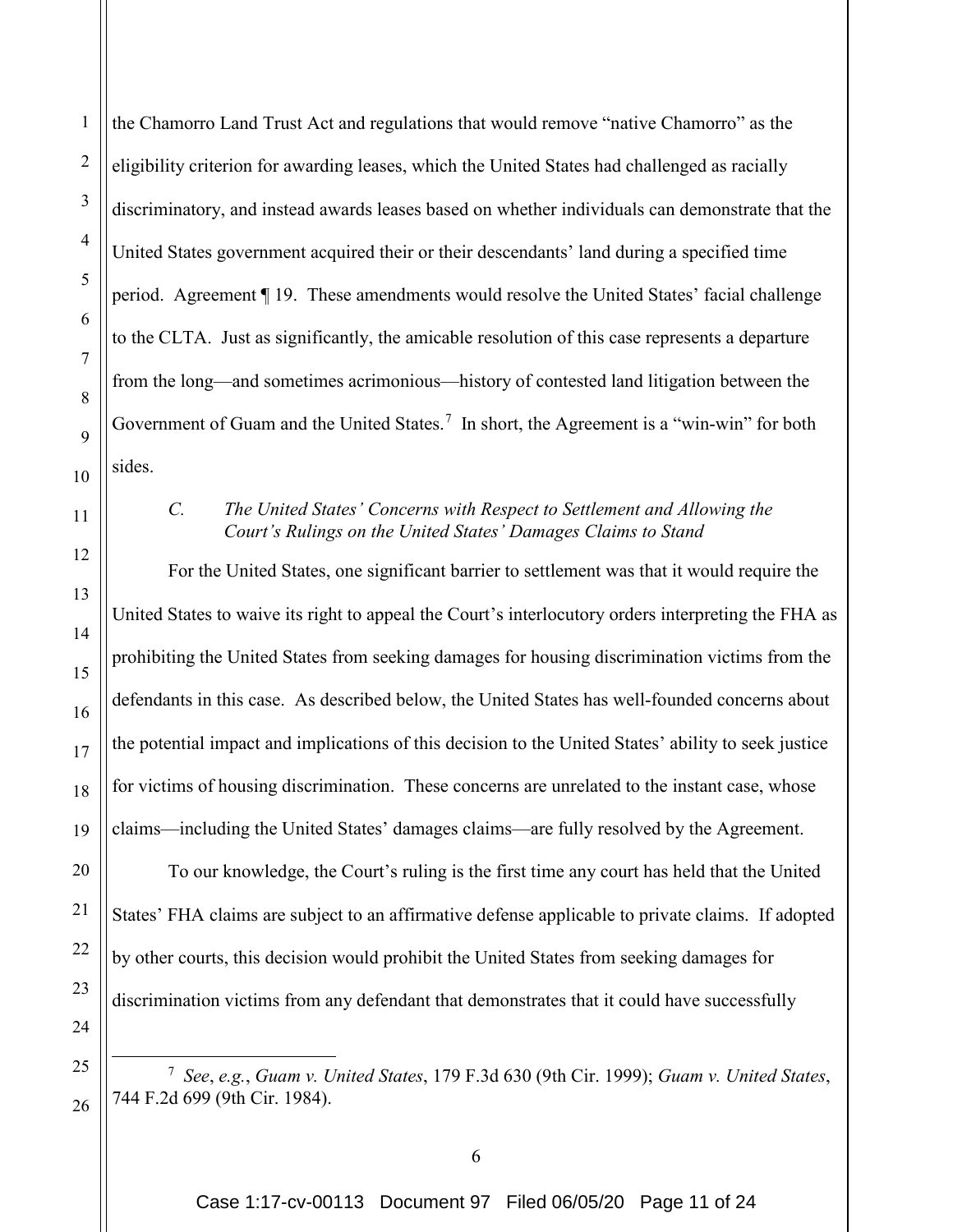the Chamorro Land Trust Act and regulations that would remove "native Chamorro" as the eligibility criterion for awarding leases, which the United States had challenged as racially discriminatory, and instead awards leases based on whether individuals can demonstrate that the United States government acquired their or their descendants' land during a specified time period. Agreement ¶ 19. These amendments would resolve the United States' facial challenge to the CLTA. Just as significantly, the amicable resolution of this case represents a departure from the long—and sometimes acrimonious—history of contested land litigation between the Government of Guam and the United States.<sup>[7](#page-10-0)</sup> In short, the Agreement is a "win-win" for both sides.

1

2

3

4

5

6

7

8

9

10

11

12

13

14

15

16

17

18

19

20

21

22

23

24

<span id="page-10-0"></span>25

26

# *C. The United States' Concerns with Respect to Settlement and Allowing the Court's Rulings on the United States' Damages Claims to Stand*

For the United States, one significant barrier to settlement was that it would require the United States to waive its right to appeal the Court's interlocutory orders interpreting the FHA as prohibiting the United States from seeking damages for housing discrimination victims from the defendants in this case. As described below, the United States has well-founded concerns about the potential impact and implications of this decision to the United States' ability to seek justice for victims of housing discrimination. These concerns are unrelated to the instant case, whose claims—including the United States' damages claims—are fully resolved by the Agreement.

To our knowledge, the Court's ruling is the first time any court has held that the United States' FHA claims are subject to an affirmative defense applicable to private claims. If adopted by other courts, this decision would prohibit the United States from seeking damages for discrimination victims from any defendant that demonstrates that it could have successfully

 7 *See*, *e.g.*, *Guam v. United States*, 179 F.3d 630 (9th Cir. 1999); *Guam v. United States*, 744 F.2d 699 (9th Cir. 1984).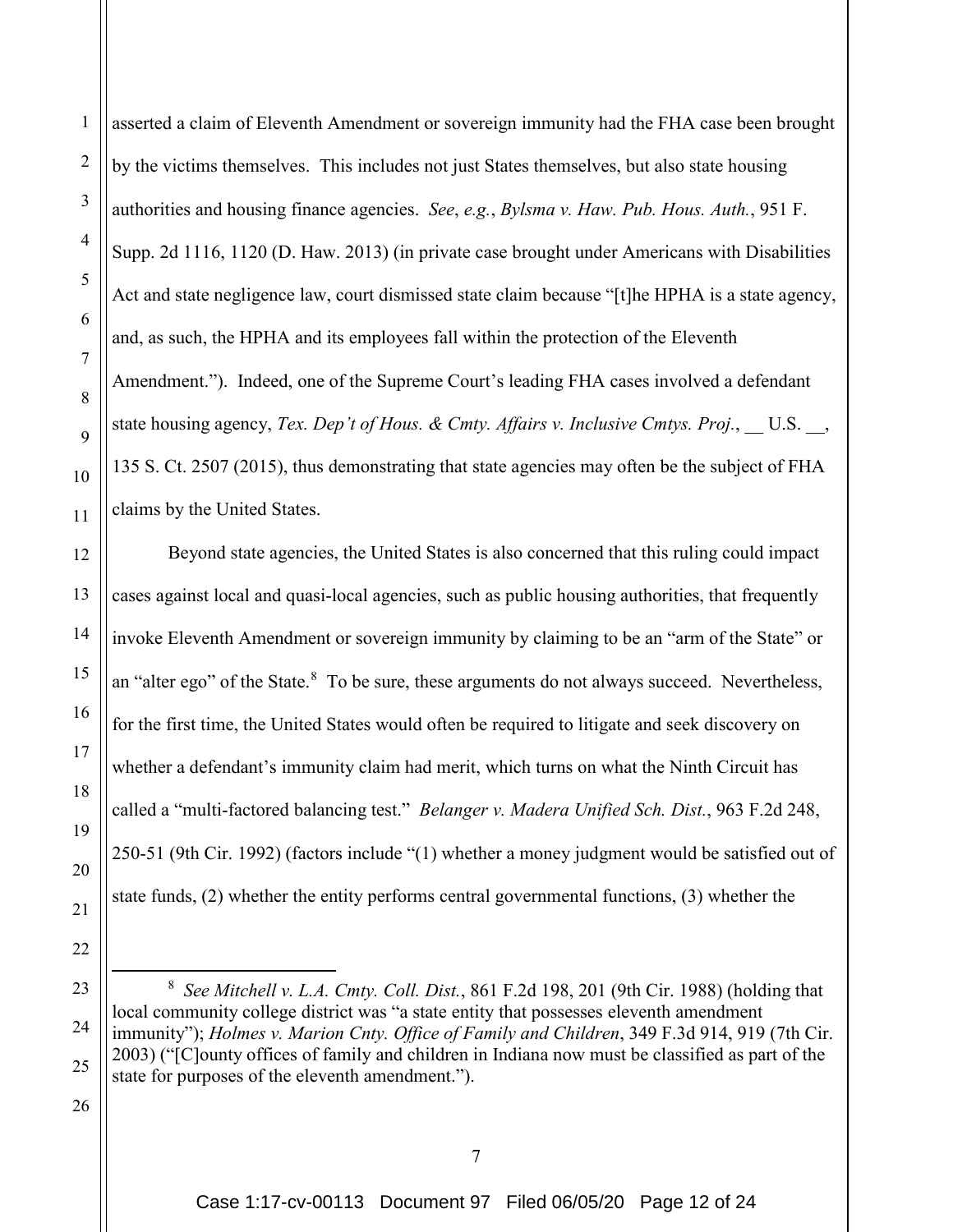2

3

4

asserted a claim of Eleventh Amendment or sovereign immunity had the FHA case been brought by the victims themselves. This includes not just States themselves, but also state housing authorities and housing finance agencies. *See*, *e.g.*, *Bylsma v. Haw. Pub. Hous. Auth.*, 951 F. Supp. 2d 1116, 1120 (D. Haw. 2013) (in private case brought under Americans with Disabilities Act and state negligence law, court dismissed state claim because "[t]he HPHA is a state agency, and, as such, the HPHA and its employees fall within the protection of the Eleventh Amendment."). Indeed, one of the Supreme Court's leading FHA cases involved a defendant state housing agency, *Tex. Dep't of Hous. & Cmty. Affairs v. Inclusive Cmtys. Proj.*, U.S., 135 S. Ct. 2507 (2015), thus demonstrating that state agencies may often be the subject of FHA claims by the United States.

Beyond state agencies, the United States is also concerned that this ruling could impact cases against local and quasi-local agencies, such as public housing authorities, that frequently invoke Eleventh Amendment or sovereign immunity by claiming to be an "arm of the State" or an "alter ego" of the State.<sup>[8](#page-11-0)</sup> To be sure, these arguments do not always succeed. Nevertheless, for the first time, the United States would often be required to litigate and seek discovery on whether a defendant's immunity claim had merit, which turns on what the Ninth Circuit has called a "multi-factored balancing test." *Belanger v. Madera Unified Sch. Dist.*, 963 F.2d 248, 250-51 (9th Cir. 1992) (factors include "(1) whether a money judgment would be satisfied out of state funds, (2) whether the entity performs central governmental functions, (3) whether the

<span id="page-11-0"></span> <sup>8</sup> *See Mitchell v. L.A. Cmty. Coll. Dist.*, 861 F.2d 198, 201 (9th Cir. 1988) (holding that local community college district was "a state entity that possesses eleventh amendment immunity"); *Holmes v. Marion Cnty. Office of Family and Children*, 349 F.3d 914, 919 (7th Cir. 2003) ("[C]ounty offices of family and children in Indiana now must be classified as part of the state for purposes of the eleventh amendment.").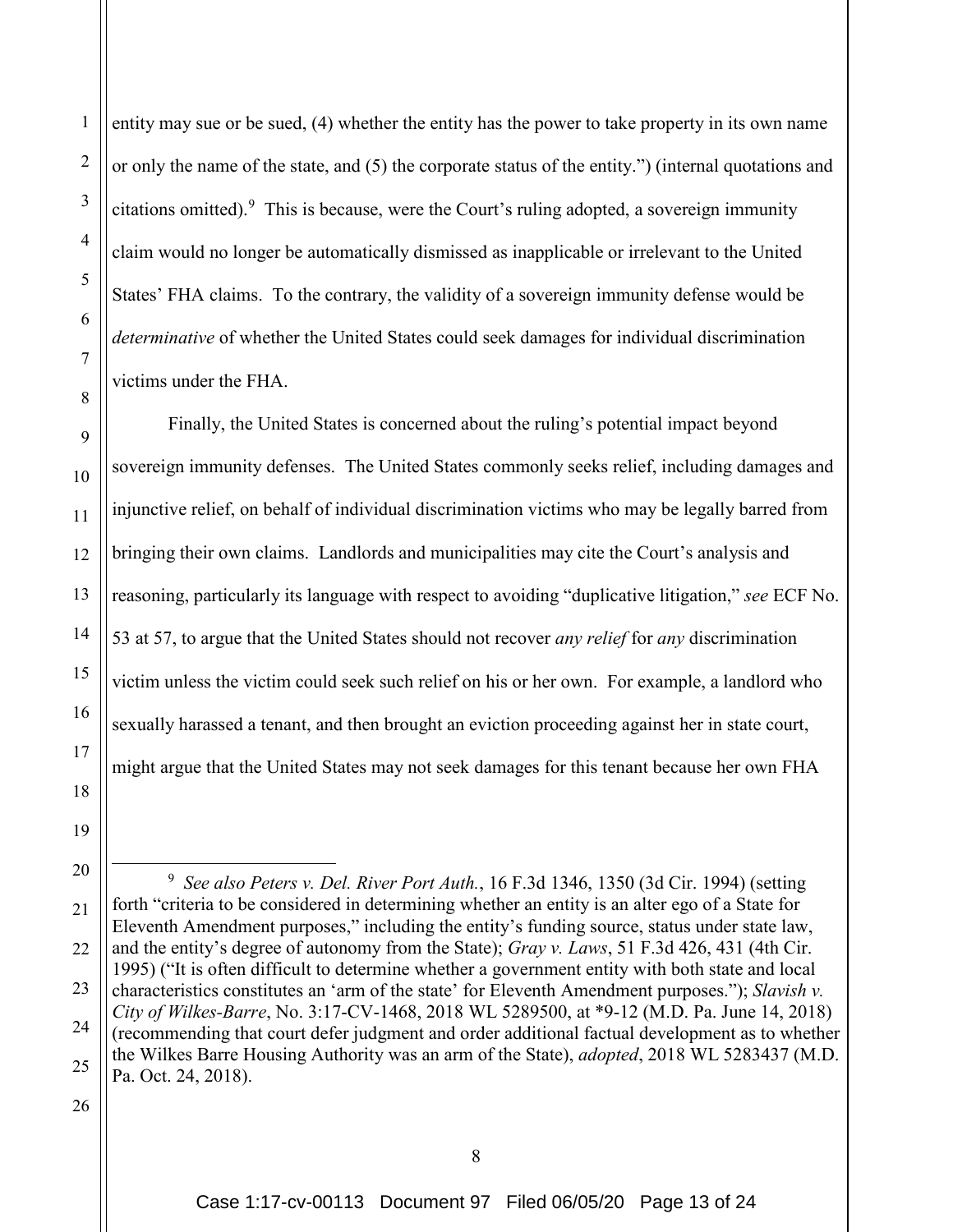1

2

3

entity may sue or be sued, (4) whether the entity has the power to take property in its own name or only the name of the state, and (5) the corporate status of the entity.") (internal quotations and citations omitted). [9](#page-12-0) This is because, were the Court's ruling adopted, a sovereign immunity claim would no longer be automatically dismissed as inapplicable or irrelevant to the United States' FHA claims. To the contrary, the validity of a sovereign immunity defense would be *determinative* of whether the United States could seek damages for individual discrimination victims under the FHA.

Finally, the United States is concerned about the ruling's potential impact beyond sovereign immunity defenses. The United States commonly seeks relief, including damages and injunctive relief, on behalf of individual discrimination victims who may be legally barred from bringing their own claims. Landlords and municipalities may cite the Court's analysis and reasoning, particularly its language with respect to avoiding "duplicative litigation," *see* ECF No. 53 at 57, to argue that the United States should not recover *any relief* for *any* discrimination victim unless the victim could seek such relief on his or her own. For example, a landlord who sexually harassed a tenant, and then brought an eviction proceeding against her in state court, might argue that the United States may not seek damages for this tenant because her own FHA

<span id="page-12-0"></span>*See also Peters v. Del. River Port Auth.*, 16 F.3d 1346, 1350 (3d Cir. 1994) (setting forth "criteria to be considered in determining whether an entity is an alter ego of a State for Eleventh Amendment purposes," including the entity's funding source, status under state law, and the entity's degree of autonomy from the State); *Gray v. Laws*, 51 F.3d 426, 431 (4th Cir. 1995) ("It is often difficult to determine whether a government entity with both state and local characteristics constitutes an 'arm of the state' for Eleventh Amendment purposes."); *Slavish v. City of Wilkes-Barre*, No. 3:17-CV-1468, 2018 WL 5289500, at \*9-12 (M.D. Pa. June 14, 2018) (recommending that court defer judgment and order additional factual development as to whether the Wilkes Barre Housing Authority was an arm of the State), *adopted*, 2018 WL 5283437 (M.D. Pa. Oct. 24, 2018).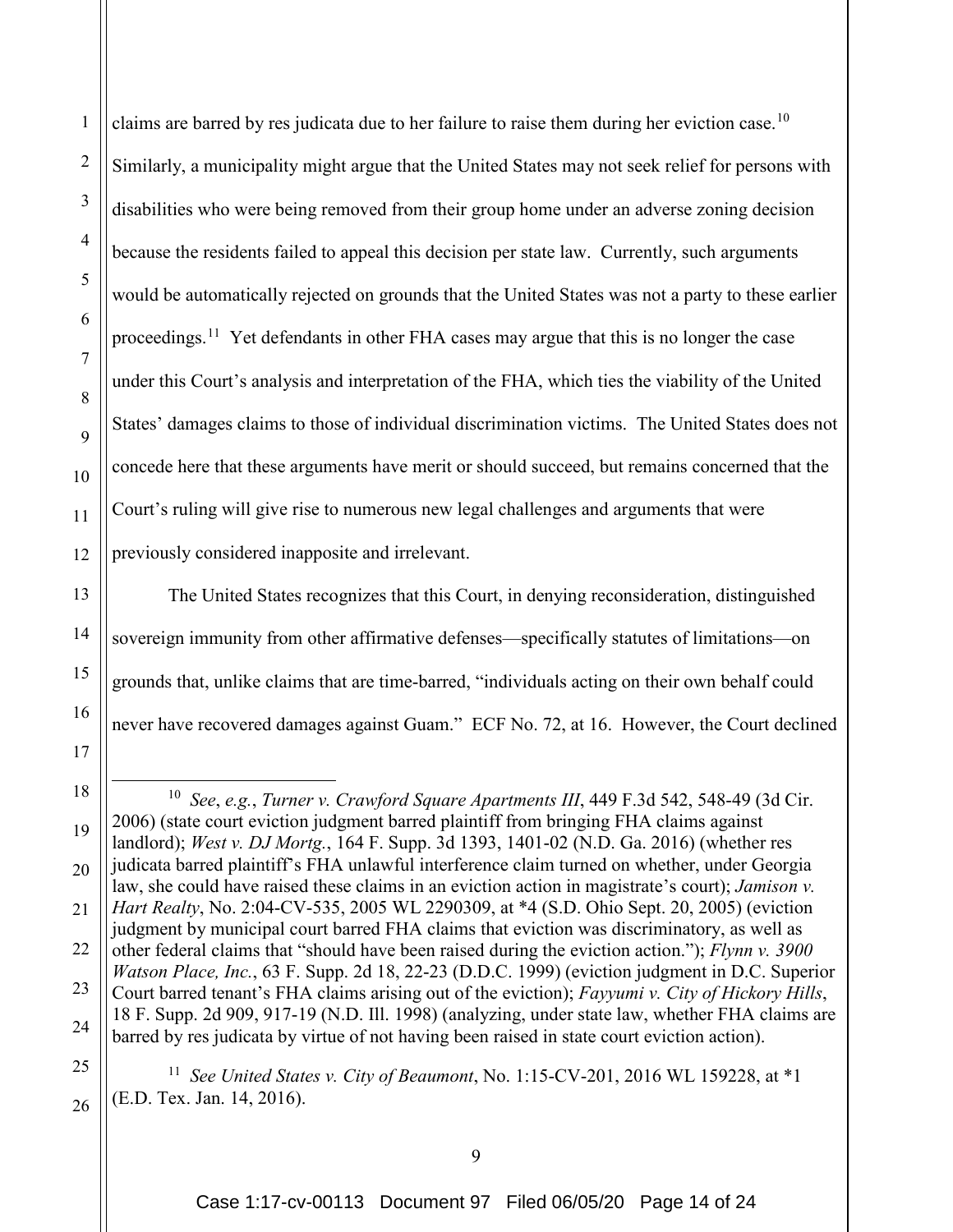2

claims are barred by res judicata due to her failure to raise them during her eviction case.<sup>[10](#page-13-0)</sup> Similarly, a municipality might argue that the United States may not seek relief for persons with disabilities who were being removed from their group home under an adverse zoning decision because the residents failed to appeal this decision per state law. Currently, such arguments would be automatically rejected on grounds that the United States was not a party to these earlier proceedings.<sup>11</sup> Yet defendants in other FHA cases may argue that this is no longer the case under this Court's analysis and interpretation of the FHA, which ties the viability of the United States' damages claims to those of individual discrimination victims. The United States does not concede here that these arguments have merit or should succeed, but remains concerned that the Court's ruling will give rise to numerous new legal challenges and arguments that were previously considered inapposite and irrelevant.

The United States recognizes that this Court, in denying reconsideration, distinguished sovereign immunity from other affirmative defenses—specifically statutes of limitations—on grounds that, unlike claims that are time-barred, "individuals acting on their own behalf could never have recovered damages against Guam." ECF No. 72, at 16. However, the Court declined

<span id="page-13-0"></span> <sup>10</sup> *See*, *e.g.*, *Turner v. Crawford Square Apartments III*, 449 F.3d 542, 548-49 (3d Cir. 2006) (state court eviction judgment barred plaintiff from bringing FHA claims against landlord); *West v. DJ Mortg.*, 164 F. Supp. 3d 1393, 1401-02 (N.D. Ga. 2016) (whether res judicata barred plaintiff's FHA unlawful interference claim turned on whether, under Georgia law, she could have raised these claims in an eviction action in magistrate's court); *Jamison v. Hart Realty*, No. 2:04-CV-535, 2005 WL 2290309, at \*4 (S.D. Ohio Sept. 20, 2005) (eviction judgment by municipal court barred FHA claims that eviction was discriminatory, as well as other federal claims that "should have been raised during the eviction action."); *Flynn v. 3900 Watson Place, Inc.*, 63 F. Supp. 2d 18, 22-23 (D.D.C. 1999) (eviction judgment in D.C. Superior Court barred tenant's FHA claims arising out of the eviction); *Fayyumi v. City of Hickory Hills*, 18 F. Supp. 2d 909, 917-19 (N.D. Ill. 1998) (analyzing, under state law, whether FHA claims are barred by res judicata by virtue of not having been raised in state court eviction action).

<span id="page-13-1"></span><sup>11</sup> *See United States v. City of Beaumont*, No. 1:15-CV-201, 2016 WL 159228, at \*1 (E.D. Tex. Jan. 14, 2016).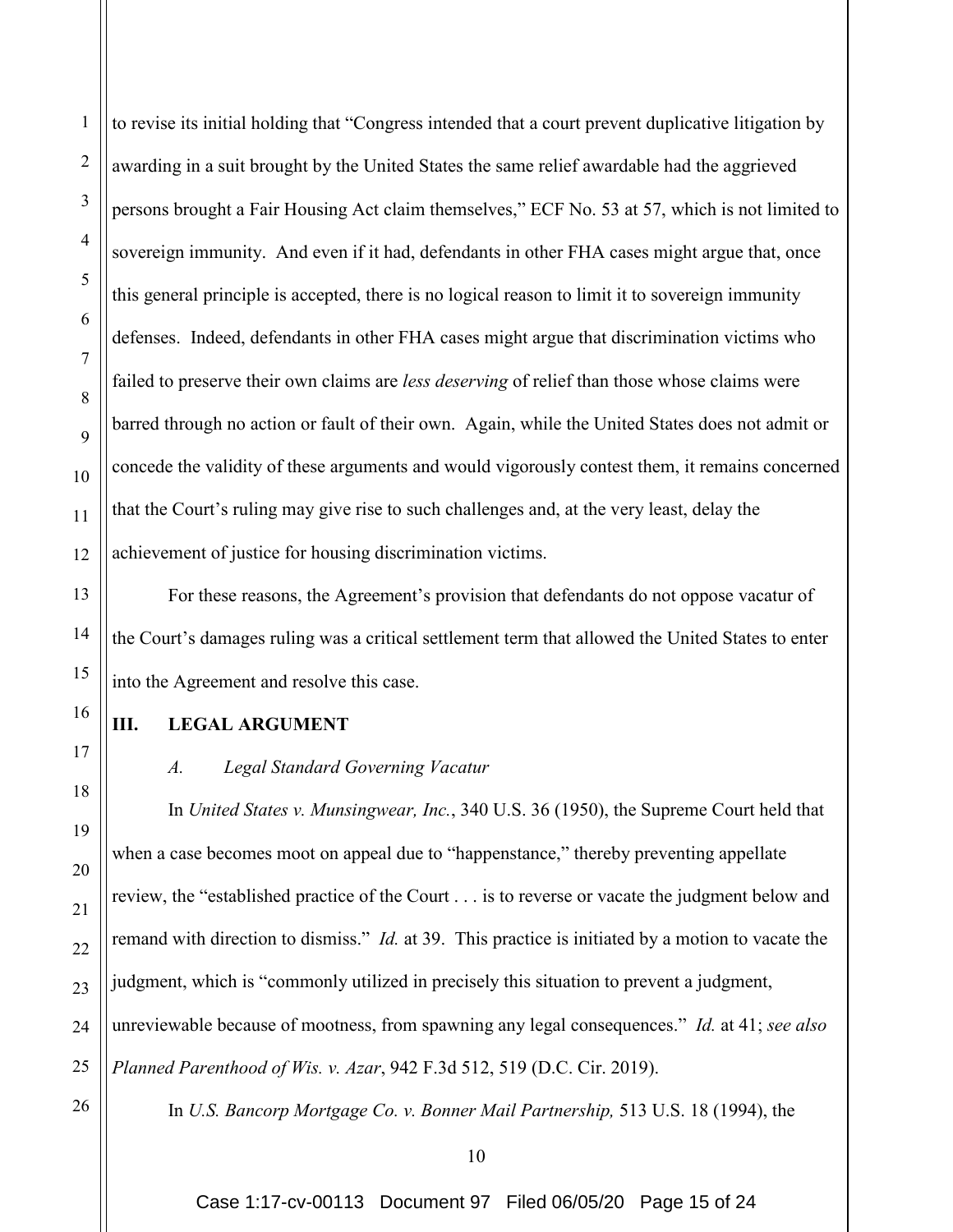to revise its initial holding that "Congress intended that a court prevent duplicative litigation by awarding in a suit brought by the United States the same relief awardable had the aggrieved persons brought a Fair Housing Act claim themselves," ECF No. 53 at 57, which is not limited to sovereign immunity. And even if it had, defendants in other FHA cases might argue that, once this general principle is accepted, there is no logical reason to limit it to sovereign immunity defenses. Indeed, defendants in other FHA cases might argue that discrimination victims who failed to preserve their own claims are *less deserving* of relief than those whose claims were barred through no action or fault of their own. Again, while the United States does not admit or concede the validity of these arguments and would vigorously contest them, it remains concerned that the Court's ruling may give rise to such challenges and, at the very least, delay the achievement of justice for housing discrimination victims.

For these reasons, the Agreement's provision that defendants do not oppose vacatur of the Court's damages ruling was a critical settlement term that allowed the United States to enter into the Agreement and resolve this case.

# **III. LEGAL ARGUMENT**

### *A. Legal Standard Governing Vacatur*

In *United States v. Munsingwear, Inc.*, 340 U.S. 36 (1950), the Supreme Court held that when a case becomes moot on appeal due to "happenstance," thereby preventing appellate review, the "established practice of the Court . . . is to reverse or vacate the judgment below and remand with direction to dismiss." *Id.* at 39. This practice is initiated by a motion to vacate the judgment, which is "commonly utilized in precisely this situation to prevent a judgment, unreviewable because of mootness, from spawning any legal consequences." *Id.* at 41; *see also Planned Parenthood of Wis. v. Azar*, 942 F.3d 512, 519 (D.C. Cir. 2019).

In *U.S. Bancorp Mortgage Co. v. Bonner Mail Partnership,* 513 U.S. 18 (1994), the

1

2

3

4

5

Case 1:17-cv-00113 Document 97 Filed 06/05/20 Page 15 of 24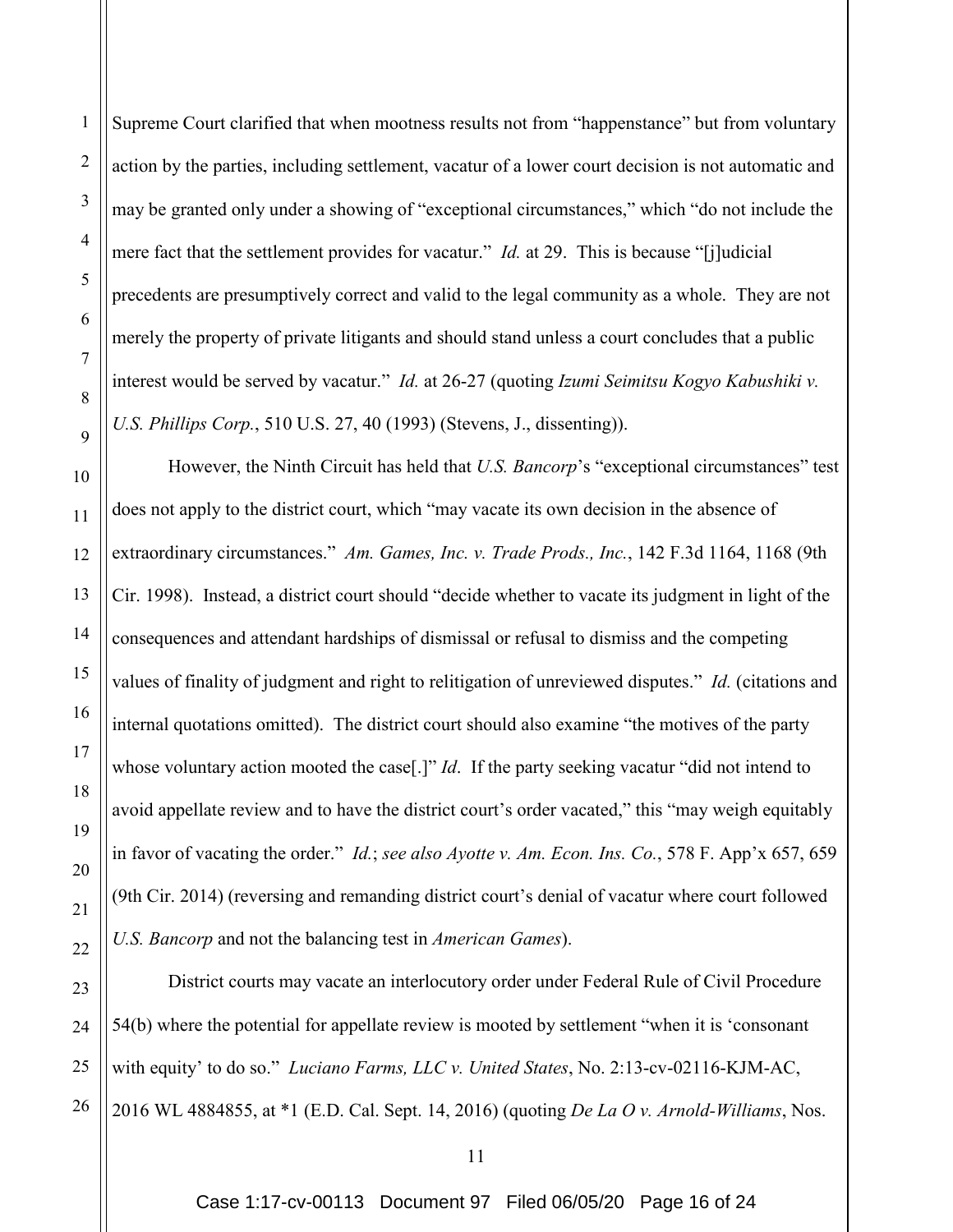Supreme Court clarified that when mootness results not from "happenstance" but from voluntary action by the parties, including settlement, vacatur of a lower court decision is not automatic and may be granted only under a showing of "exceptional circumstances," which "do not include the mere fact that the settlement provides for vacatur." *Id.* at 29. This is because "[j]udicial precedents are presumptively correct and valid to the legal community as a whole. They are not merely the property of private litigants and should stand unless a court concludes that a public interest would be served by vacatur." *Id.* at 26-27 (quoting *Izumi Seimitsu Kogyo Kabushiki v. U.S. Phillips Corp.*, 510 U.S. 27, 40 (1993) (Stevens, J., dissenting)).

1

2

3

4

5

6

7

8

9

10

11

12

13

14

15

16

17

18

19

20

21

22

However, the Ninth Circuit has held that *U.S. Bancorp*'s "exceptional circumstances" test does not apply to the district court, which "may vacate its own decision in the absence of extraordinary circumstances." *Am. Games, Inc. v. Trade Prods., Inc.*, 142 F.3d 1164, 1168 (9th Cir. 1998). Instead, a district court should "decide whether to vacate its judgment in light of the consequences and attendant hardships of dismissal or refusal to dismiss and the competing values of finality of judgment and right to relitigation of unreviewed disputes." *Id.* (citations and internal quotations omitted). The district court should also examine "the motives of the party whose voluntary action mooted the case[.]" *Id*. If the party seeking vacatur "did not intend to avoid appellate review and to have the district court's order vacated," this "may weigh equitably in favor of vacating the order." *Id.*; *see also Ayotte v. Am. Econ. Ins. Co.*, 578 F. App'x 657, 659 (9th Cir. 2014) (reversing and remanding district court's denial of vacatur where court followed *U.S. Bancorp* and not the balancing test in *American Games*).

23 24 25 26 District courts may vacate an interlocutory order under Federal Rule of Civil Procedure 54(b) where the potential for appellate review is mooted by settlement "when it is 'consonant with equity' to do so." *Luciano Farms, LLC v. United States*, No. 2:13-cv-02116-KJM-AC, 2016 WL 4884855, at \*1 (E.D. Cal. Sept. 14, 2016) (quoting *De La O v. Arnold-Williams*, Nos.

Case 1:17-cv-00113 Document 97 Filed 06/05/20 Page 16 of 24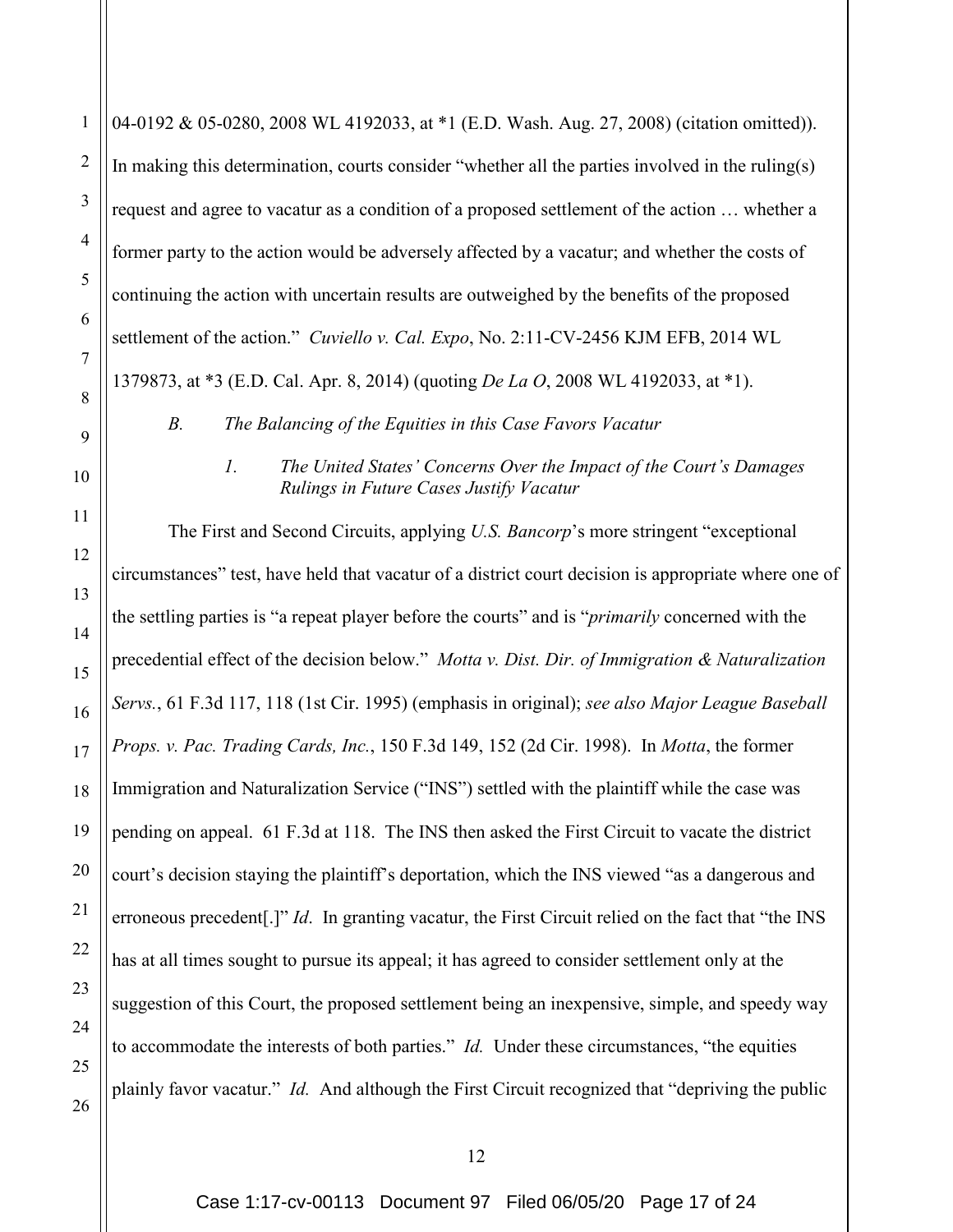| $\mathbf{1}$   | 04-0192 & 05-0280, 2008 WL 4192033, at *1 (E.D. Wash. Aug. 27, 2008) (citation omitted)).                                        |  |  |
|----------------|----------------------------------------------------------------------------------------------------------------------------------|--|--|
| $\overline{2}$ | In making this determination, courts consider "whether all the parties involved in the ruling(s)                                 |  |  |
| 3              | request and agree to vacatur as a condition of a proposed settlement of the action  whether a                                    |  |  |
| $\overline{4}$ | former party to the action would be adversely affected by a vacatur; and whether the costs of                                    |  |  |
| 5              | continuing the action with uncertain results are outweighed by the benefits of the proposed                                      |  |  |
| 6              | settlement of the action." Cuviello v. Cal. Expo, No. 2:11-CV-2456 KJM EFB, 2014 WL                                              |  |  |
| 7              | 1379873, at *3 (E.D. Cal. Apr. 8, 2014) (quoting <i>De La O</i> , 2008 WL 4192033, at *1).                                       |  |  |
| 8              | $B$ .<br>The Balancing of the Equities in this Case Favors Vacatur                                                               |  |  |
| 9<br>10        | $\mathcal{I}$ .<br>The United States' Concerns Over the Impact of the Court's Damages<br>Rulings in Future Cases Justify Vacatur |  |  |
| 11             | The First and Second Circuits, applying U.S. Bancorp's more stringent "exceptional"                                              |  |  |
| 12             | circumstances" test, have held that vacatur of a district court decision is appropriate where one of                             |  |  |
| 13             | the settling parties is "a repeat player before the courts" and is " <i>primarily</i> concerned with the                         |  |  |
| 14             | precedential effect of the decision below." Motta v. Dist. Dir. of Immigration & Naturalization                                  |  |  |
| 15             | Servs., 61 F.3d 117, 118 (1st Cir. 1995) (emphasis in original); see also Major League Baseball                                  |  |  |
| 16<br>17       | Props. v. Pac. Trading Cards, Inc., 150 F.3d 149, 152 (2d Cir. 1998). In Motta, the former                                       |  |  |
| 18             | Immigration and Naturalization Service ("INS") settled with the plaintiff while the case was                                     |  |  |
| 19             | pending on appeal. 61 F.3d at 118. The INS then asked the First Circuit to vacate the district                                   |  |  |
| 20             |                                                                                                                                  |  |  |
| 21             | court's decision staying the plaintiff's deportation, which the INS viewed "as a dangerous and                                   |  |  |
| 22             | erroneous precedent[.]" <i>Id.</i> In granting vacatur, the First Circuit relied on the fact that "the INS                       |  |  |
| 23             | has at all times sought to pursue its appeal; it has agreed to consider settlement only at the                                   |  |  |
| 24             | suggestion of this Court, the proposed settlement being an inexpensive, simple, and speedy way                                   |  |  |
| 25             | to accommodate the interests of both parties." <i>Id.</i> Under these circumstances, "the equities                               |  |  |
| 26             | plainly favor vacatur." Id. And although the First Circuit recognized that "depriving the public                                 |  |  |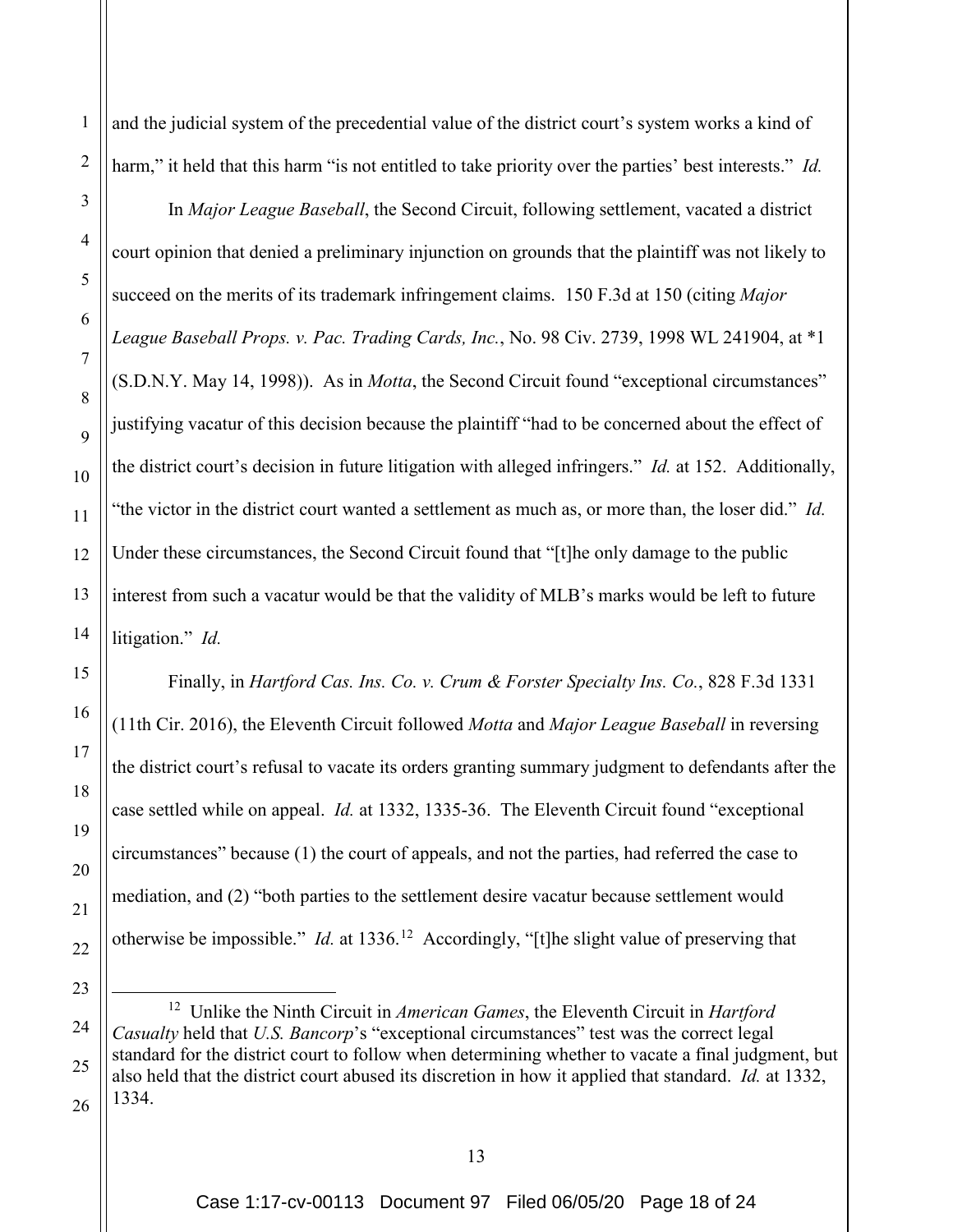26

1

2

and the judicial system of the precedential value of the district court's system works a kind of harm," it held that this harm "is not entitled to take priority over the parties' best interests." *Id.*

In *Major League Baseball*, the Second Circuit, following settlement, vacated a district court opinion that denied a preliminary injunction on grounds that the plaintiff was not likely to succeed on the merits of its trademark infringement claims. 150 F.3d at 150 (citing *Major League Baseball Props. v. Pac. Trading Cards, Inc.*, No. 98 Civ. 2739, 1998 WL 241904, at \*1 (S.D.N.Y. May 14, 1998)). As in *Motta*, the Second Circuit found "exceptional circumstances" justifying vacatur of this decision because the plaintiff "had to be concerned about the effect of the district court's decision in future litigation with alleged infringers." *Id.* at 152. Additionally, "the victor in the district court wanted a settlement as much as, or more than, the loser did." *Id.* Under these circumstances, the Second Circuit found that "[t]he only damage to the public interest from such a vacatur would be that the validity of MLB's marks would be left to future litigation." *Id.*

Finally, in *Hartford Cas. Ins. Co. v. Crum & Forster Specialty Ins. Co.*, 828 F.3d 1331 (11th Cir. 2016), the Eleventh Circuit followed *Motta* and *Major League Baseball* in reversing the district court's refusal to vacate its orders granting summary judgment to defendants after the case settled while on appeal. *Id.* at 1332, 1335-36. The Eleventh Circuit found "exceptional circumstances" because (1) the court of appeals, and not the parties, had referred the case to mediation, and (2) "both parties to the settlement desire vacatur because settlement would otherwise be impossible." *Id.* at 1336.<sup>12</sup> Accordingly, "[t]he slight value of preserving that

<span id="page-17-0"></span> <sup>12</sup> Unlike the Ninth Circuit in *American Games*, the Eleventh Circuit in *Hartford Casualty* held that *U.S. Bancorp*'s "exceptional circumstances" test was the correct legal standard for the district court to follow when determining whether to vacate a final judgment, but also held that the district court abused its discretion in how it applied that standard. *Id.* at 1332, 1334.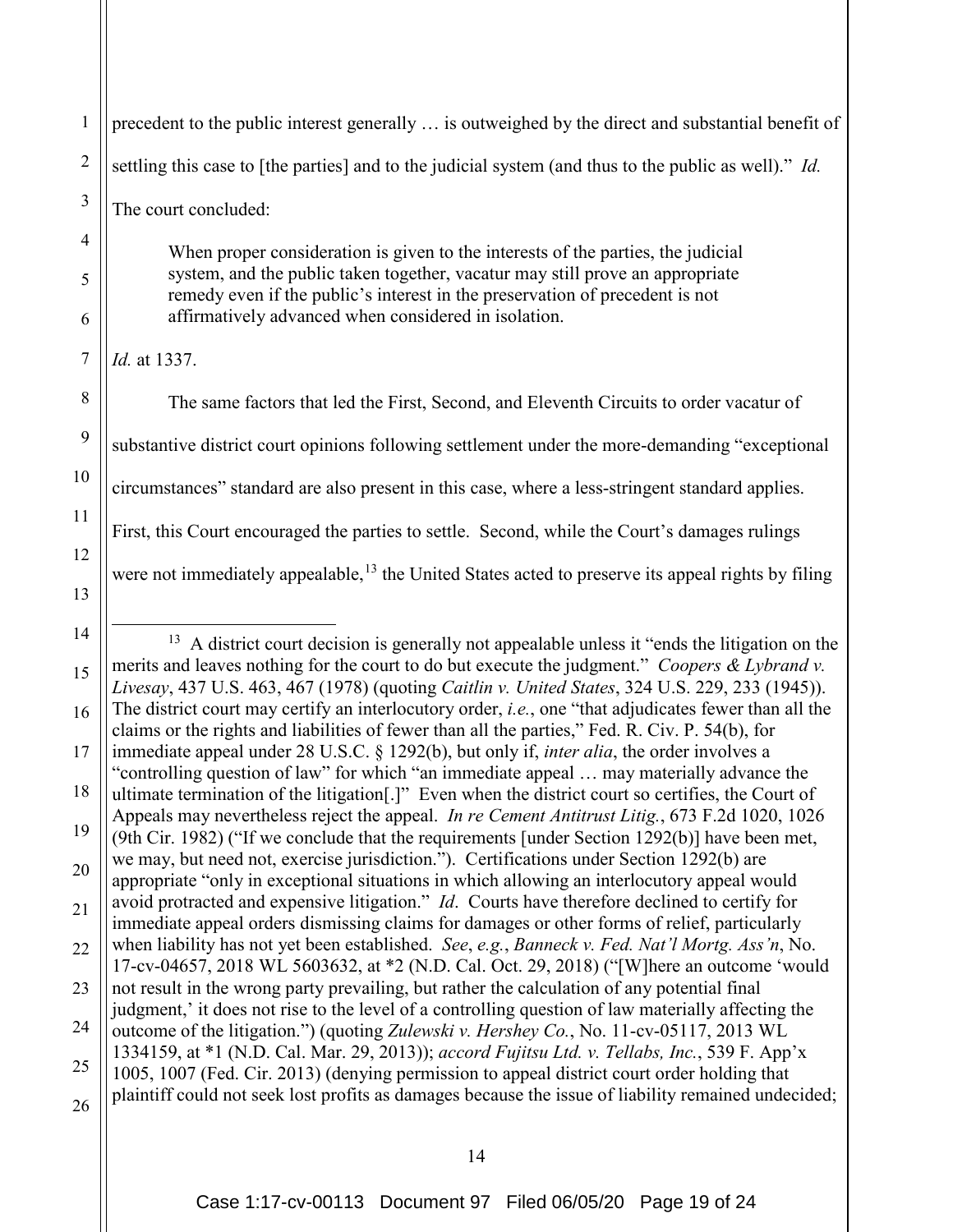1 2 3 precedent to the public interest generally … is outweighed by the direct and substantial benefit of settling this case to [the parties] and to the judicial system (and thus to the public as well)." *Id.* 

The court concluded:

When proper consideration is given to the interests of the parties, the judicial system, and the public taken together, vacatur may still prove an appropriate remedy even if the public's interest in the preservation of precedent is not affirmatively advanced when considered in isolation.

*Id.* at 1337.

4

5

6

7

8

9

10

11

12

13

The same factors that led the First, Second, and Eleventh Circuits to order vacatur of substantive district court opinions following settlement under the more-demanding "exceptional circumstances" standard are also present in this case, where a less-stringent standard applies. First, this Court encouraged the parties to settle. Second, while the Court's damages rulings were not immediately appealable,  $13$  the United States acted to preserve its appeal rights by filing

<span id="page-18-0"></span><sup>14</sup> 15 16 17 18 19 20 21 22 23 24 25 26  $13$  A district court decision is generally not appealable unless it "ends the litigation on the merits and leaves nothing for the court to do but execute the judgment." *Coopers & Lybrand v. Livesay*, 437 U.S. 463, 467 (1978) (quoting *Caitlin v. United States*, 324 U.S. 229, 233 (1945)). The district court may certify an interlocutory order, *i.e.*, one "that adjudicates fewer than all the claims or the rights and liabilities of fewer than all the parties," Fed. R. Civ. P. 54(b), for immediate appeal under 28 U.S.C. § 1292(b), but only if, *inter alia*, the order involves a "controlling question of law" for which "an immediate appeal … may materially advance the ultimate termination of the litigation[.]" Even when the district court so certifies, the Court of Appeals may nevertheless reject the appeal. *In re Cement Antitrust Litig.*, 673 F.2d 1020, 1026 (9th Cir. 1982) ("If we conclude that the requirements [under Section 1292(b)] have been met, we may, but need not, exercise jurisdiction."). Certifications under Section 1292(b) are appropriate "only in exceptional situations in which allowing an interlocutory appeal would avoid protracted and expensive litigation." *Id*. Courts have therefore declined to certify for immediate appeal orders dismissing claims for damages or other forms of relief, particularly when liability has not yet been established. *See*, *e.g.*, *Banneck v. Fed. Nat'l Mortg. Ass'n*, No. 17-cv-04657, 2018 WL 5603632, at \*2 (N.D. Cal. Oct. 29, 2018) ("[W]here an outcome 'would not result in the wrong party prevailing, but rather the calculation of any potential final judgment,' it does not rise to the level of a controlling question of law materially affecting the outcome of the litigation.") (quoting *Zulewski v. Hershey Co.*, No. 11-cv-05117, 2013 WL 1334159, at \*1 (N.D. Cal. Mar. 29, 2013)); *accord Fujitsu Ltd. v. Tellabs, Inc.*, 539 F. App'x 1005, 1007 (Fed. Cir. 2013) (denying permission to appeal district court order holding that plaintiff could not seek lost profits as damages because the issue of liability remained undecided;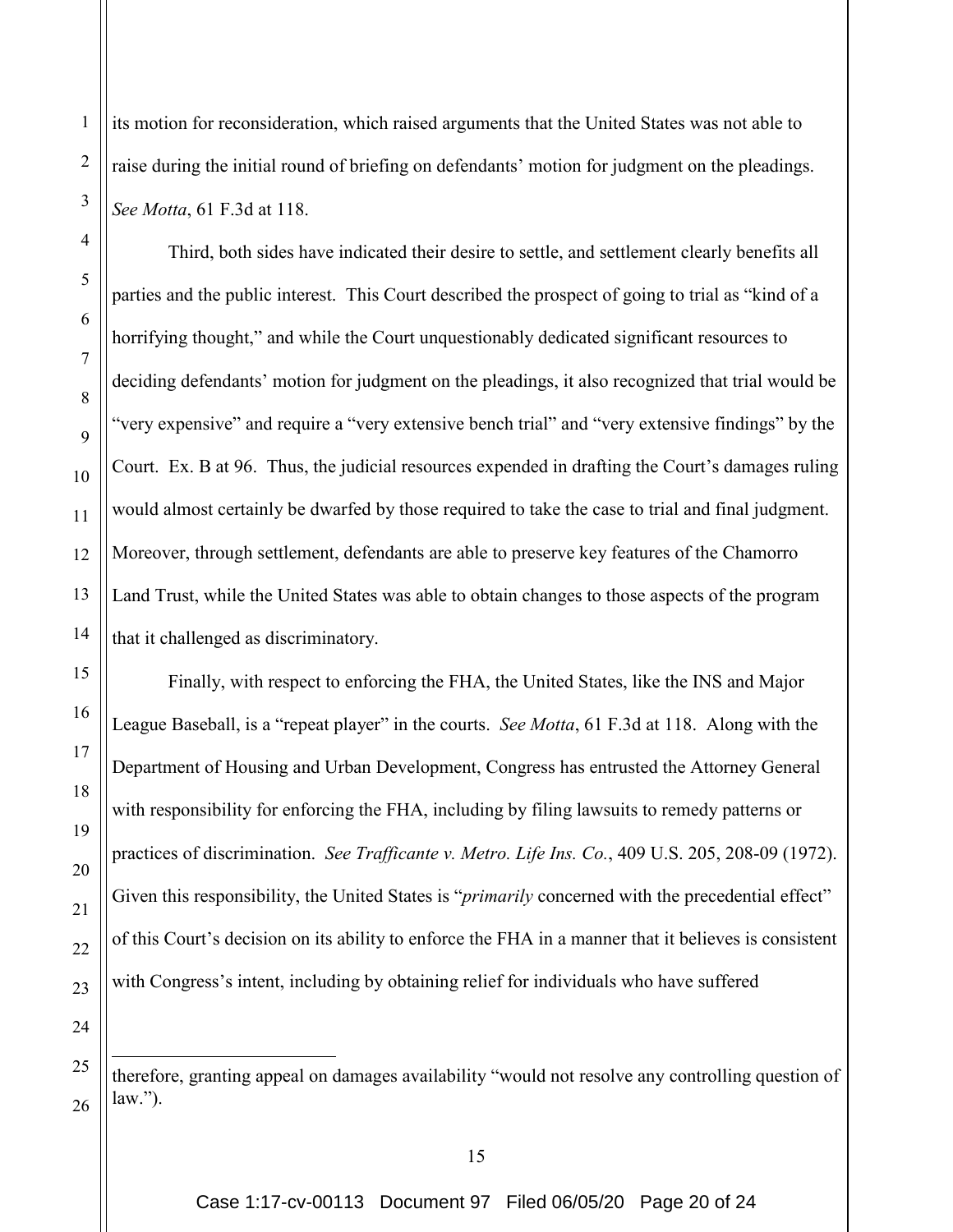its motion for reconsideration, which raised arguments that the United States was not able to raise during the initial round of briefing on defendants' motion for judgment on the pleadings. *See Motta*, 61 F.3d at 118.

Third, both sides have indicated their desire to settle, and settlement clearly benefits all parties and the public interest. This Court described the prospect of going to trial as "kind of a horrifying thought," and while the Court unquestionably dedicated significant resources to deciding defendants' motion for judgment on the pleadings, it also recognized that trial would be "very expensive" and require a "very extensive bench trial" and "very extensive findings" by the Court. Ex. B at 96. Thus, the judicial resources expended in drafting the Court's damages ruling would almost certainly be dwarfed by those required to take the case to trial and final judgment. Moreover, through settlement, defendants are able to preserve key features of the Chamorro Land Trust, while the United States was able to obtain changes to those aspects of the program that it challenged as discriminatory.

Finally, with respect to enforcing the FHA, the United States, like the INS and Major League Baseball, is a "repeat player" in the courts. *See Motta*, 61 F.3d at 118. Along with the Department of Housing and Urban Development, Congress has entrusted the Attorney General with responsibility for enforcing the FHA, including by filing lawsuits to remedy patterns or practices of discrimination. *See Trafficante v. Metro. Life Ins. Co.*, 409 U.S. 205, 208-09 (1972). Given this responsibility, the United States is "*primarily* concerned with the precedential effect" of this Court's decision on its ability to enforce the FHA in a manner that it believes is consistent with Congress's intent, including by obtaining relief for individuals who have suffered

24 25 26

 $\overline{a}$ 

1

2

3

4

5

6

7

8

9

10

11

12

13

14

15

16

17

18

19

20

21

22

therefore, granting appeal on damages availability "would not resolve any controlling question of law.").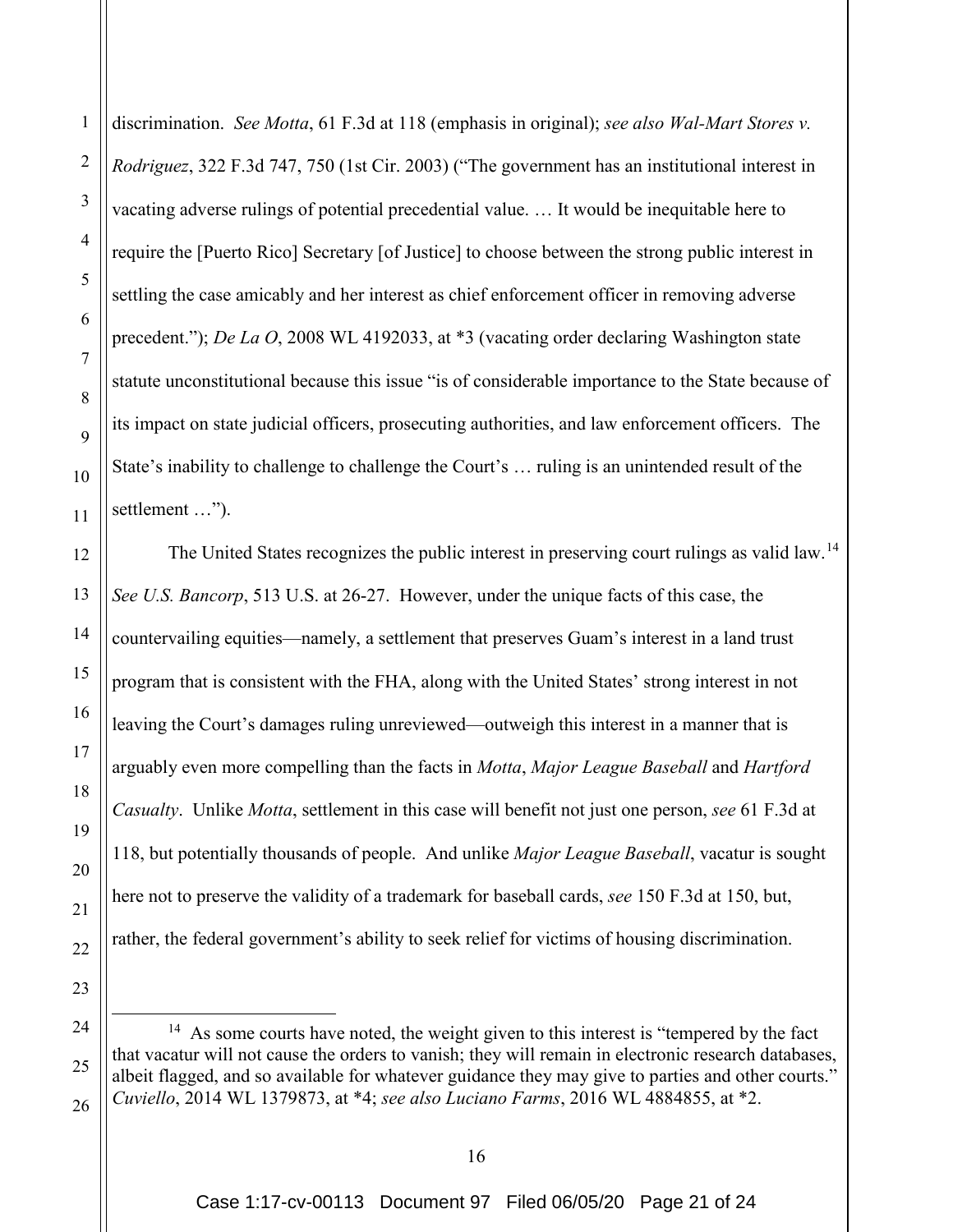discrimination. *See Motta*, 61 F.3d at 118 (emphasis in original); *see also Wal-Mart Stores v. Rodriguez*, 322 F.3d 747, 750 (1st Cir. 2003) ("The government has an institutional interest in vacating adverse rulings of potential precedential value. … It would be inequitable here to require the [Puerto Rico] Secretary [of Justice] to choose between the strong public interest in settling the case amicably and her interest as chief enforcement officer in removing adverse precedent."); *De La O*, 2008 WL 4192033, at \*3 (vacating order declaring Washington state statute unconstitutional because this issue "is of considerable importance to the State because of its impact on state judicial officers, prosecuting authorities, and law enforcement officers. The State's inability to challenge to challenge the Court's … ruling is an unintended result of the settlement …").

1

2

3

4

5

6

7

8

9

10

11

12

13

14

15

16

17

18

19

20

21

22

23

<span id="page-20-0"></span>24

25

26

The United States recognizes the public interest in preserving court rulings as valid law.<sup>[14](#page-20-0)</sup> *See U.S. Bancorp*, 513 U.S. at 26-27. However, under the unique facts of this case, the countervailing equities—namely, a settlement that preserves Guam's interest in a land trust program that is consistent with the FHA, along with the United States' strong interest in not leaving the Court's damages ruling unreviewed—outweigh this interest in a manner that is arguably even more compelling than the facts in *Motta*, *Major League Baseball* and *Hartford Casualty*. Unlike *Motta*, settlement in this case will benefit not just one person, *see* 61 F.3d at 118, but potentially thousands of people. And unlike *Major League Baseball*, vacatur is sought here not to preserve the validity of a trademark for baseball cards, *see* 150 F.3d at 150, but, rather, the federal government's ability to seek relief for victims of housing discrimination.

 $14$  As some courts have noted, the weight given to this interest is "tempered by the fact that vacatur will not cause the orders to vanish; they will remain in electronic research databases, albeit flagged, and so available for whatever guidance they may give to parties and other courts." *Cuviello*, 2014 WL 1379873, at \*4; *see also Luciano Farms*, 2016 WL 4884855, at \*2.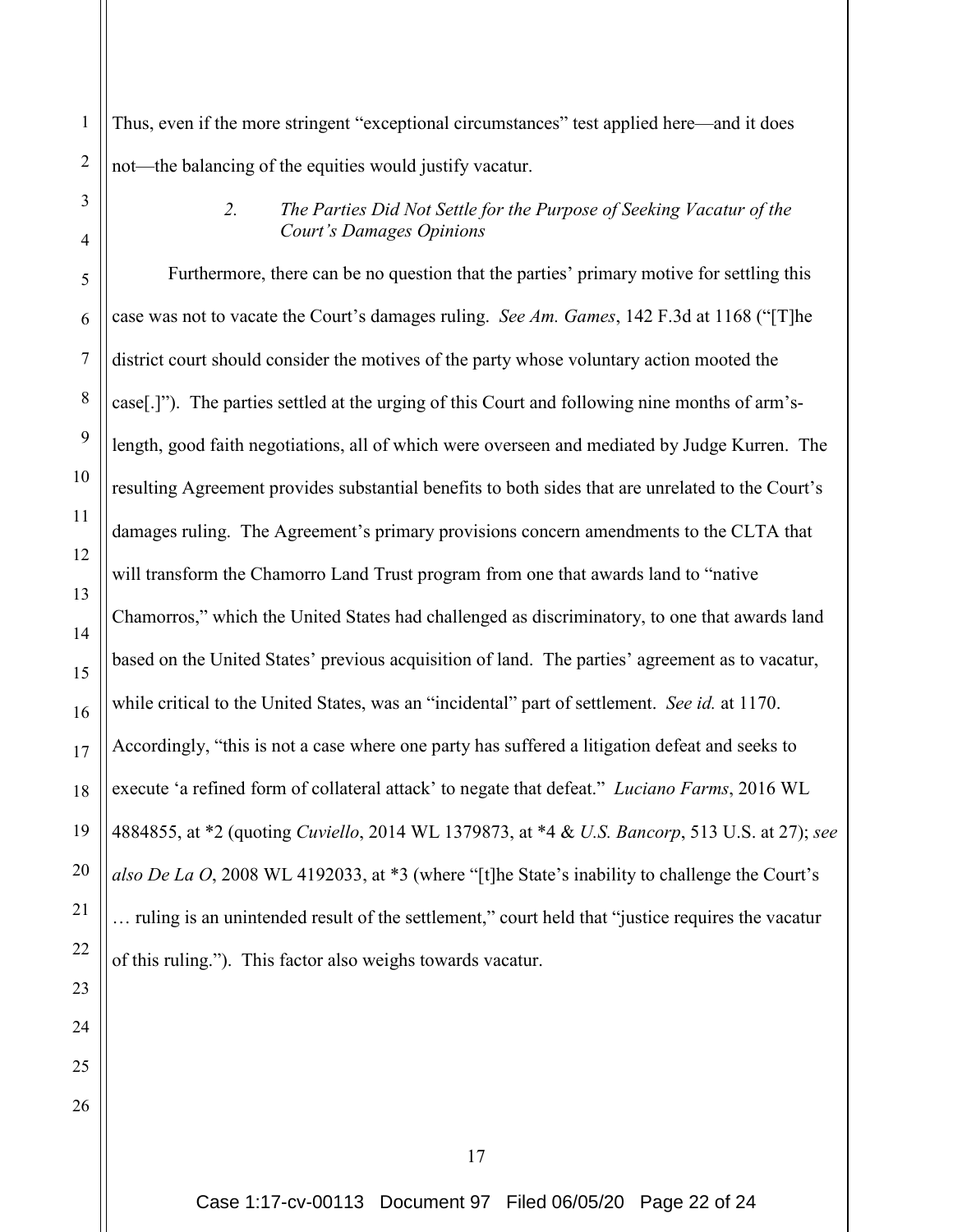2 Thus, even if the more stringent "exceptional circumstances" test applied here—and it does not—the balancing of the equities would justify vacatur.

Furthermore, there can be no question that the parties' primary motive for settling this case was not to vacate the Court's damages ruling. *See Am. Games*, 142 F.3d at 1168 ("[T]he district court should consider the motives of the party whose voluntary action mooted the case[.]"). The parties settled at the urging of this Court and following nine months of arm'slength, good faith negotiations, all of which were overseen and mediated by Judge Kurren. The resulting Agreement provides substantial benefits to both sides that are unrelated to the Court's damages ruling. The Agreement's primary provisions concern amendments to the CLTA that will transform the Chamorro Land Trust program from one that awards land to "native Chamorros," which the United States had challenged as discriminatory, to one that awards land based on the United States' previous acquisition of land. The parties' agreement as to vacatur, while critical to the United States, was an "incidental" part of settlement. *See id.* at 1170. Accordingly, "this is not a case where one party has suffered a litigation defeat and seeks to execute 'a refined form of collateral attack' to negate that defeat." *Luciano Farms*, 2016 WL 4884855, at \*2 (quoting *Cuviello*, 2014 WL 1379873, at \*4 & *U.S. Bancorp*, 513 U.S. at 27); *see also De La O*, 2008 WL 4192033, at \*3 (where "[t]he State's inability to challenge the Court's … ruling is an unintended result of the settlement," court held that "justice requires the vacatur of this ruling."). This factor also weighs towards vacatur.

1

3

4

5

6

7

*<sup>2.</sup> The Parties Did Not Settle for the Purpose of Seeking Vacatur of the Court's Damages Opinions*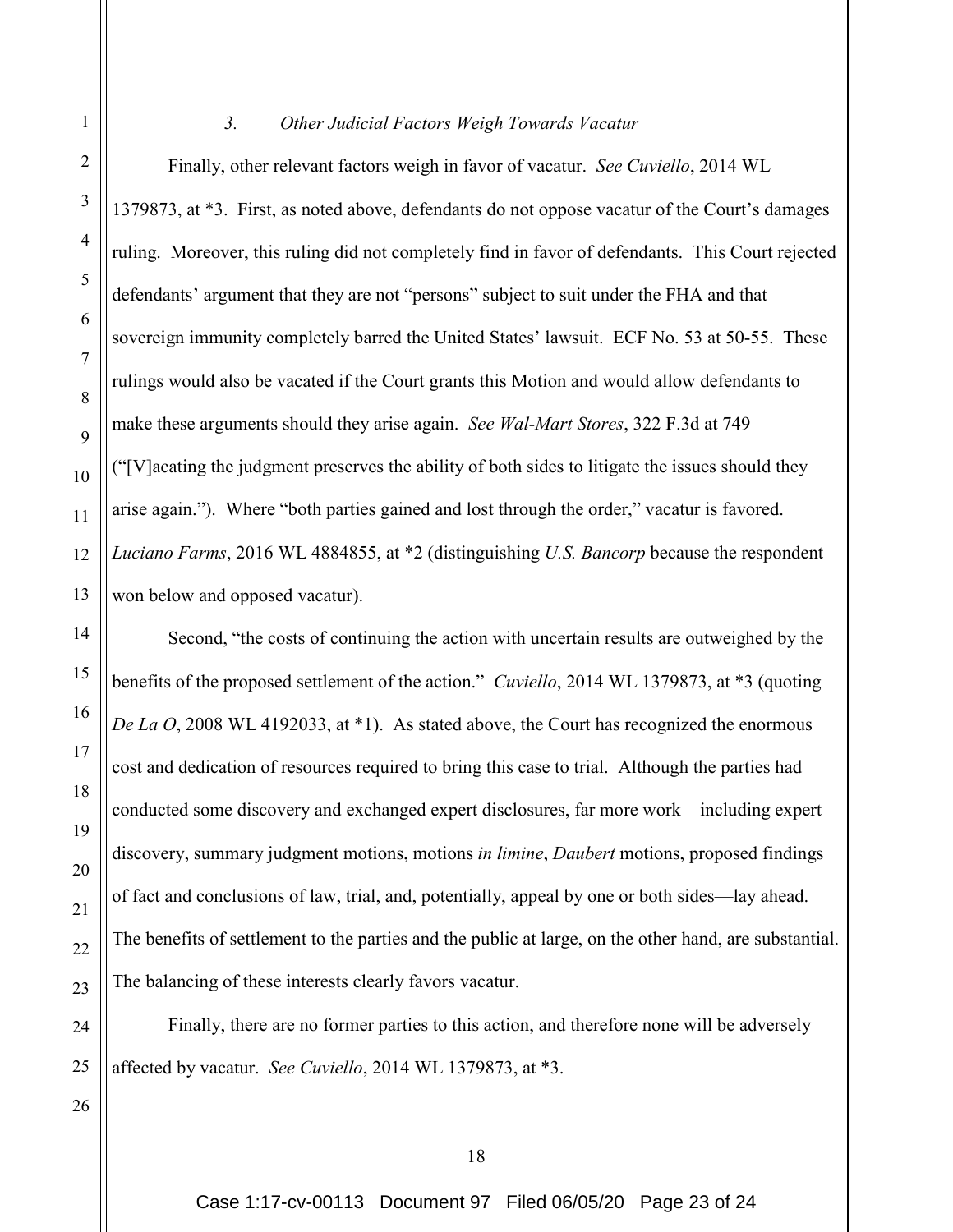### *3. Other Judicial Factors Weigh Towards Vacatur*

Finally, other relevant factors weigh in favor of vacatur. *See Cuviello*, 2014 WL 1379873, at \*3. First, as noted above, defendants do not oppose vacatur of the Court's damages ruling. Moreover, this ruling did not completely find in favor of defendants. This Court rejected defendants' argument that they are not "persons" subject to suit under the FHA and that sovereign immunity completely barred the United States' lawsuit. ECF No. 53 at 50-55. These rulings would also be vacated if the Court grants this Motion and would allow defendants to make these arguments should they arise again. *See Wal-Mart Stores*, 322 F.3d at 749 ("[V]acating the judgment preserves the ability of both sides to litigate the issues should they arise again."). Where "both parties gained and lost through the order," vacatur is favored. *Luciano Farms*, 2016 WL 4884855, at \*2 (distinguishing *U.S. Bancorp* because the respondent won below and opposed vacatur).

Second, "the costs of continuing the action with uncertain results are outweighed by the benefits of the proposed settlement of the action." *Cuviello*, 2014 WL 1379873, at \*3 (quoting *De La O*, 2008 WL 4192033, at \*1). As stated above, the Court has recognized the enormous cost and dedication of resources required to bring this case to trial. Although the parties had conducted some discovery and exchanged expert disclosures, far more work—including expert discovery, summary judgment motions, motions *in limine*, *Daubert* motions, proposed findings of fact and conclusions of law, trial, and, potentially, appeal by one or both sides—lay ahead. The benefits of settlement to the parties and the public at large, on the other hand, are substantial. The balancing of these interests clearly favors vacatur.

Finally, there are no former parties to this action, and therefore none will be adversely affected by vacatur. *See Cuviello*, 2014 WL 1379873, at \*3.

1

2

3

4

5

6

7

8

9

10

11

12

13

14

15

16

17

18

19